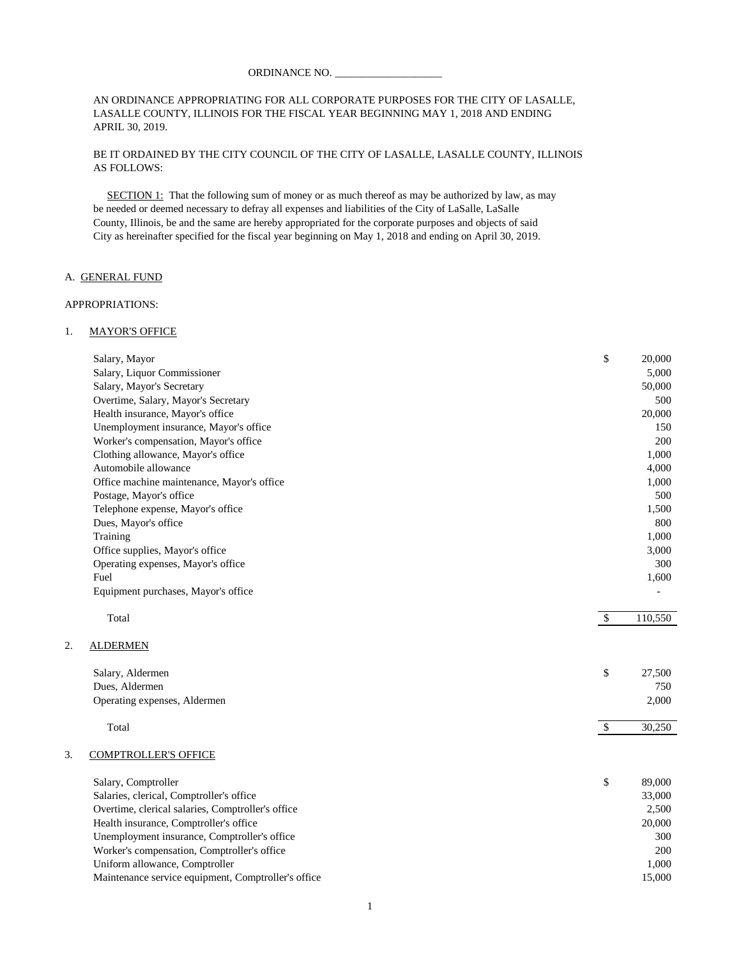#### ORDINANCE NO.

### AN ORDINANCE APPROPRIATING FOR ALL CORPORATE PURPOSES FOR THE CITY OF LASALLE, LASALLE COUNTY, ILLINOIS FOR THE FISCAL YEAR BEGINNING MAY 1, 2018 AND ENDING APRIL 30, 2019.

### BE IT ORDAINED BY THE CITY COUNCIL OF THE CITY OF LASALLE, LASALLE COUNTY, ILLINOIS AS FOLLOWS:

 SECTION 1: That the following sum of money or as much thereof as may be authorized by law, as may be needed or deemed necessary to defray all expenses and liabilities of the City of LaSalle, LaSalle County, Illinois, be and the same are hereby appropriated for the corporate purposes and objects of said City as hereinafter specified for the fiscal year beginning on May 1, 2018 and ending on April 30, 2019.

### A. GENERAL FUND

#### APPROPRIATIONS:

 $2.$ 

#### 1. MAYOR'S OFFICE

|    |                                                     | \$                        | 20,000  |
|----|-----------------------------------------------------|---------------------------|---------|
|    | Salary, Mayor                                       |                           | 5,000   |
|    | Salary, Liquor Commissioner                         |                           |         |
|    | Salary, Mayor's Secretary                           |                           | 50,000  |
|    | Overtime, Salary, Mayor's Secretary                 |                           | 500     |
|    | Health insurance, Mayor's office                    |                           | 20,000  |
|    | Unemployment insurance, Mayor's office              |                           | 150     |
|    | Worker's compensation, Mayor's office               |                           | 200     |
|    | Clothing allowance, Mayor's office                  |                           | 1,000   |
|    | Automobile allowance                                |                           | 4,000   |
|    | Office machine maintenance, Mayor's office          |                           | 1,000   |
|    | Postage, Mayor's office                             |                           | 500     |
|    | Telephone expense, Mayor's office                   |                           | 1,500   |
|    | Dues, Mayor's office                                |                           | 800     |
|    | Training                                            |                           | 1,000   |
|    | Office supplies, Mayor's office                     |                           | 3,000   |
|    | Operating expenses, Mayor's office                  |                           | 300     |
|    | Fuel                                                |                           | 1,600   |
|    | Equipment purchases, Mayor's office                 |                           |         |
|    | Total                                               | $\mathcal{S}$             | 110,550 |
| 2. | <b>ALDERMEN</b>                                     |                           |         |
|    | Salary, Aldermen                                    | \$                        | 27,500  |
|    | Dues, Aldermen                                      |                           | 750     |
|    | Operating expenses, Aldermen                        |                           | 2,000   |
|    |                                                     |                           |         |
|    | Total                                               | $\boldsymbol{\mathsf{S}}$ | 30,250  |
| 3. | <b>COMPTROLLER'S OFFICE</b>                         |                           |         |
|    | Salary, Comptroller                                 | \$                        | 89,000  |
|    | Salaries, clerical, Comptroller's office            |                           | 33,000  |
|    | Overtime, clerical salaries, Comptroller's office   |                           | 2,500   |
|    | Health insurance, Comptroller's office              |                           | 20,000  |
|    | Unemployment insurance, Comptroller's office        |                           | 300     |
|    | Worker's compensation, Comptroller's office         |                           | 200     |
|    | Uniform allowance, Comptroller                      |                           | 1,000   |
|    | Maintenance service equipment, Comptroller's office |                           | 15,000  |
|    |                                                     |                           |         |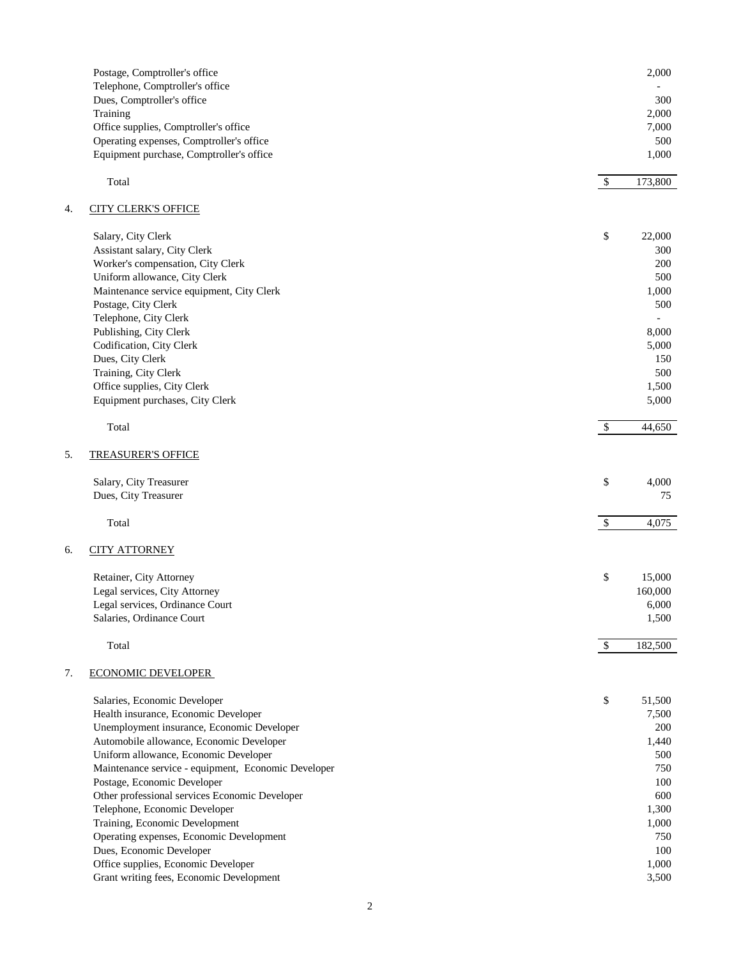|    | Postage, Comptroller's office<br>Telephone, Comptroller's office                     |                           | 2,000          |
|----|--------------------------------------------------------------------------------------|---------------------------|----------------|
|    | Dues, Comptroller's office                                                           |                           | 300            |
|    | Training                                                                             |                           | 2,000          |
|    | Office supplies, Comptroller's office                                                |                           | 7,000          |
|    | Operating expenses, Comptroller's office<br>Equipment purchase, Comptroller's office |                           | 500<br>1,000   |
|    | Total                                                                                | $\mathbb{S}$              | 173,800        |
| 4. | <b>CITY CLERK'S OFFICE</b>                                                           |                           |                |
|    | Salary, City Clerk                                                                   | \$                        | 22,000         |
|    | Assistant salary, City Clerk                                                         |                           | 300            |
|    | Worker's compensation, City Clerk                                                    |                           | 200            |
|    | Uniform allowance, City Clerk                                                        |                           | 500            |
|    | Maintenance service equipment, City Clerk                                            |                           | 1,000          |
|    | Postage, City Clerk                                                                  |                           | 500            |
|    | Telephone, City Clerk                                                                |                           |                |
|    | Publishing, City Clerk                                                               |                           | 8,000          |
|    | Codification, City Clerk                                                             |                           | 5,000          |
|    | Dues, City Clerk                                                                     |                           | 150            |
|    | Training, City Clerk                                                                 |                           | 500            |
|    | Office supplies, City Clerk                                                          |                           | 1,500          |
|    | Equipment purchases, City Clerk                                                      |                           | 5,000          |
|    | Total                                                                                | $\mathcal{S}$             | 44,650         |
| 5. | <b>TREASURER'S OFFICE</b>                                                            |                           |                |
|    | Salary, City Treasurer                                                               | \$                        | 4,000          |
|    | Dues, City Treasurer                                                                 |                           | 75             |
|    | Total                                                                                | $\boldsymbol{\mathsf{S}}$ | 4,075          |
| 6. | <b>CITY ATTORNEY</b>                                                                 |                           |                |
|    | Retainer, City Attorney                                                              | \$                        | 15,000         |
|    | Legal services, City Attorney                                                        |                           | 160,000        |
|    | Legal services, Ordinance Court                                                      |                           | 6,000          |
|    | Salaries, Ordinance Court                                                            |                           | 1,500          |
|    | Total                                                                                | $\mathbb{S}$              | 182,500        |
| 7. | <b>ECONOMIC DEVELOPER</b>                                                            |                           |                |
|    | Salaries, Economic Developer                                                         | \$                        | 51,500         |
|    | Health insurance, Economic Developer                                                 |                           | 7,500          |
|    | Unemployment insurance, Economic Developer                                           |                           | 200            |
|    | Automobile allowance, Economic Developer                                             |                           | 1,440          |
|    | Uniform allowance, Economic Developer                                                |                           | 500            |
|    | Maintenance service - equipment, Economic Developer                                  |                           | 750            |
|    | Postage, Economic Developer                                                          |                           | 100            |
|    | Other professional services Economic Developer                                       |                           | 600            |
|    | Telephone, Economic Developer                                                        |                           | 1,300          |
|    | Training, Economic Development                                                       |                           | 1,000          |
|    | Operating expenses, Economic Development                                             |                           | 750            |
|    | Dues, Economic Developer                                                             |                           | 100            |
|    | Office supplies, Economic Developer<br>Grant writing fees, Economic Development      |                           | 1,000<br>3,500 |
|    |                                                                                      |                           |                |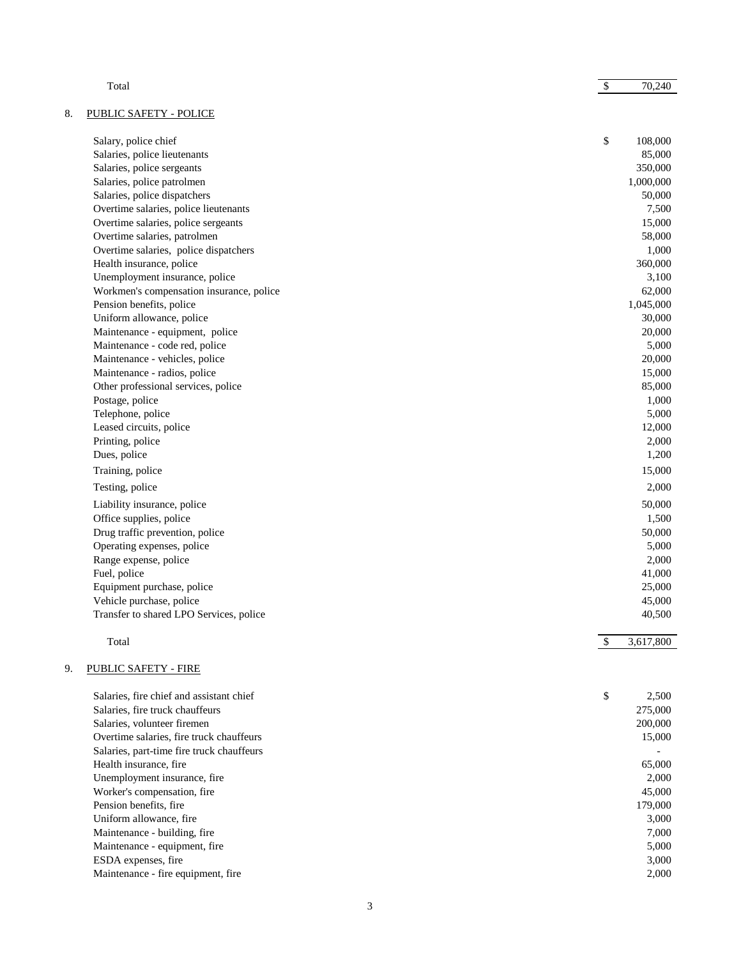|    | Total                                     | $\$$ | 70,240    |
|----|-------------------------------------------|------|-----------|
| 8. | <b>PUBLIC SAFETY - POLICE</b>             |      |           |
|    | Salary, police chief                      | \$   | 108,000   |
|    | Salaries, police lieutenants              |      | 85,000    |
|    | Salaries, police sergeants                |      | 350,000   |
|    | Salaries, police patrolmen                |      | 1,000,000 |
|    | Salaries, police dispatchers              |      | 50,000    |
|    | Overtime salaries, police lieutenants     |      | 7,500     |
|    | Overtime salaries, police sergeants       |      | 15,000    |
|    | Overtime salaries, patrolmen              |      | 58,000    |
|    | Overtime salaries, police dispatchers     |      | 1,000     |
|    | Health insurance, police                  |      | 360,000   |
|    | Unemployment insurance, police            |      | 3,100     |
|    | Workmen's compensation insurance, police  |      | 62,000    |
|    | Pension benefits, police                  |      | 1,045,000 |
|    | Uniform allowance, police                 |      | 30,000    |
|    | Maintenance - equipment, police           |      | 20,000    |
|    | Maintenance - code red, police            |      | 5,000     |
|    | Maintenance - vehicles, police            |      | 20,000    |
|    | Maintenance - radios, police              |      | 15,000    |
|    | Other professional services, police       |      | 85,000    |
|    | Postage, police                           |      | 1,000     |
|    | Telephone, police                         |      | 5,000     |
|    | Leased circuits, police                   |      | 12,000    |
|    | Printing, police                          |      | 2,000     |
|    | Dues, police                              |      | 1,200     |
|    | Training, police                          |      | 15,000    |
|    | Testing, police                           |      | 2,000     |
|    | Liability insurance, police               |      | 50,000    |
|    | Office supplies, police                   |      | 1,500     |
|    | Drug traffic prevention, police           |      | 50,000    |
|    | Operating expenses, police                |      | 5,000     |
|    | Range expense, police                     |      | 2,000     |
|    | Fuel, police                              |      | 41,000    |
|    | Equipment purchase, police                |      | 25,000    |
|    | Vehicle purchase, police                  |      | 45,000    |
|    | Transfer to shared LPO Services, police   |      | 40,500    |
|    |                                           |      |           |
|    | Total                                     | \$   | 3,617,800 |
| 9. | PUBLIC SAFETY - FIRE                      |      |           |
|    | Salaries, fire chief and assistant chief  | \$   | 2,500     |
|    | Salaries, fire truck chauffeurs           |      | 275,000   |
|    | Salaries, volunteer firemen               |      | 200,000   |
|    | Overtime salaries, fire truck chauffeurs  |      | 15,000    |
|    | Salaries, part-time fire truck chauffeurs |      |           |
|    | Health insurance, fire                    |      | 65,000    |
|    | Unemployment insurance, fire              |      | 2,000     |
|    | Worker's compensation, fire               |      | 45,000    |
|    | Pension benefits, fire                    |      | 179,000   |
|    | Uniform allowance, fire                   |      | 3,000     |
|    | Maintenance - building, fire              |      | 7,000     |
|    | Maintenance - equipment, fire             |      | 5,000     |
|    | ESDA expenses, fire                       |      | 3,000     |
|    | Maintenance - fire equipment, fire        |      | 2,000     |
|    |                                           |      |           |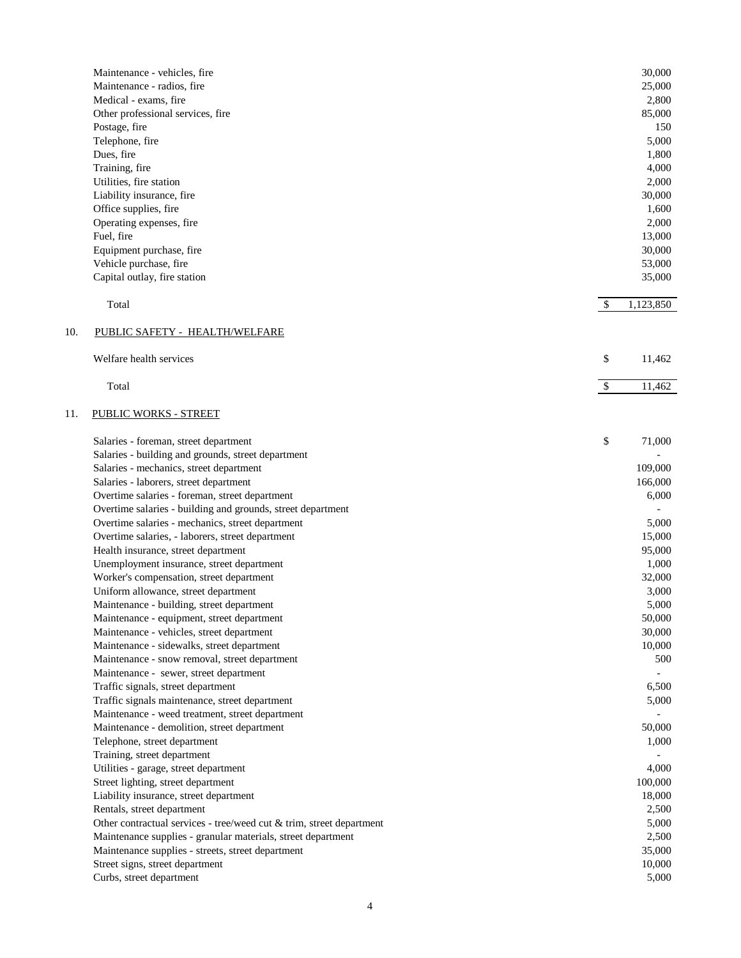|     | Maintenance - vehicles, fire                                         |              | 30,000    |
|-----|----------------------------------------------------------------------|--------------|-----------|
|     | Maintenance - radios, fire                                           |              | 25,000    |
|     | Medical - exams, fire                                                |              | 2,800     |
|     | Other professional services, fire                                    |              | 85,000    |
|     | Postage, fire                                                        |              | 150       |
|     | Telephone, fire                                                      |              | 5,000     |
|     | Dues, fire                                                           |              | 1,800     |
|     | Training, fire                                                       |              | 4,000     |
|     | Utilities, fire station                                              |              | 2,000     |
|     | Liability insurance, fire                                            |              | 30,000    |
|     | Office supplies, fire                                                |              | 1,600     |
|     | Operating expenses, fire                                             |              | 2,000     |
|     | Fuel, fire                                                           |              | 13,000    |
|     | Equipment purchase, fire                                             |              | 30,000    |
|     | Vehicle purchase, fire                                               |              | 53,000    |
|     | Capital outlay, fire station                                         |              | 35,000    |
|     |                                                                      |              |           |
|     | Total                                                                | \$           | 1,123,850 |
| 10. | PUBLIC SAFETY - HEALTH/WELFARE                                       |              |           |
|     | Welfare health services                                              | \$           | 11,462    |
|     |                                                                      |              |           |
|     | Total                                                                | $\mathbb{S}$ | 11,462    |
| 11. | <b>PUBLIC WORKS - STREET</b>                                         |              |           |
|     | Salaries - foreman, street department                                | \$           | 71,000    |
|     | Salaries - building and grounds, street department                   |              |           |
|     | Salaries - mechanics, street department                              |              | 109,000   |
|     | Salaries - laborers, street department                               |              | 166,000   |
|     | Overtime salaries - foreman, street department                       |              | 6,000     |
|     | Overtime salaries - building and grounds, street department          |              |           |
|     | Overtime salaries - mechanics, street department                     |              | 5,000     |
|     | Overtime salaries, - laborers, street department                     |              | 15,000    |
|     | Health insurance, street department                                  |              | 95,000    |
|     | Unemployment insurance, street department                            |              | 1,000     |
|     | Worker's compensation, street department                             |              | 32,000    |
|     | Uniform allowance, street department                                 |              | 3,000     |
|     | Maintenance - building, street department                            |              | 5,000     |
|     | Maintenance - equipment, street department                           |              | 50,000    |
|     | Maintenance - vehicles, street department                            |              | 30,000    |
|     | Maintenance - sidewalks, street department                           |              | 10,000    |
|     | Maintenance - snow removal, street department                        |              | 500       |
|     | Maintenance - sewer, street department                               |              |           |
|     | Traffic signals, street department                                   |              | 6,500     |
|     | Traffic signals maintenance, street department                       |              | 5,000     |
|     | Maintenance - weed treatment, street department                      |              |           |
|     | Maintenance - demolition, street department                          |              | 50,000    |
|     | Telephone, street department                                         |              | 1,000     |
|     | Training, street department                                          |              |           |
|     | Utilities - garage, street department                                |              | 4,000     |
|     | Street lighting, street department                                   |              | 100,000   |
|     | Liability insurance, street department                               |              | 18,000    |
|     | Rentals, street department                                           |              | 2,500     |
|     | Other contractual services - tree/weed cut & trim, street department |              | 5,000     |
|     | Maintenance supplies - granular materials, street department         |              | 2,500     |
|     | Maintenance supplies - streets, street department                    |              | 35,000    |
|     | Street signs, street department                                      |              | 10,000    |
|     | Curbs, street department                                             |              | 5,000     |
|     |                                                                      |              |           |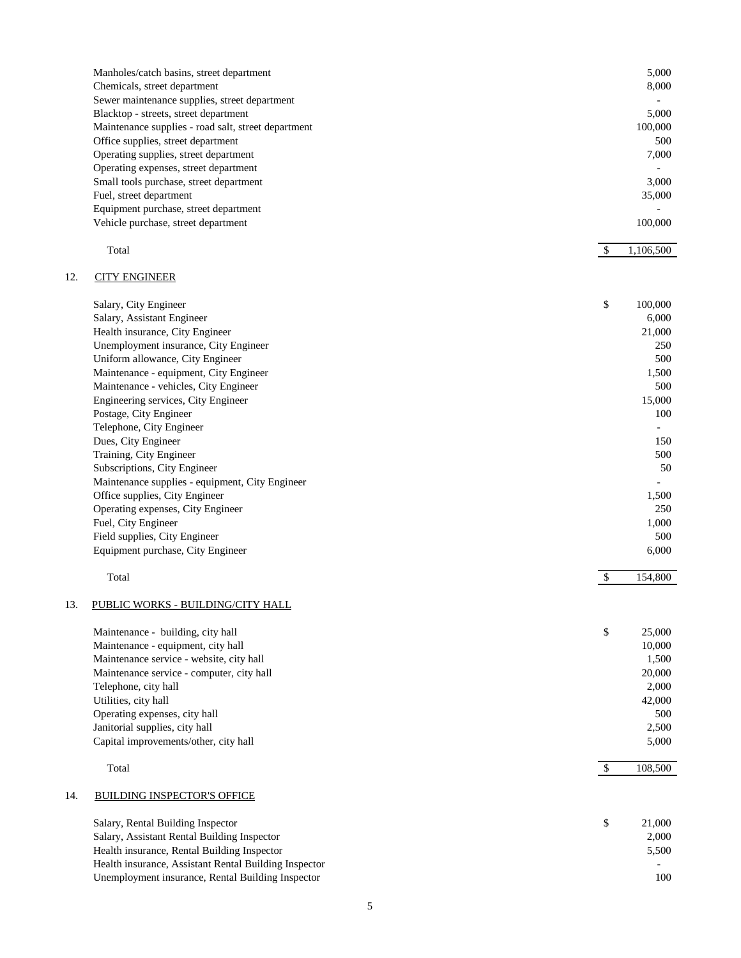|     | Manholes/catch basins, street department<br>Chemicals, street department<br>Sewer maintenance supplies, street department<br>Blacktop - streets, street department<br>Maintenance supplies - road salt, street department<br>Office supplies, street department<br>Operating supplies, street department<br>Operating expenses, street department<br>Small tools purchase, street department<br>Fuel, street department<br>Equipment purchase, street department<br>Vehicle purchase, street department                                                                                                                                                               |                     | 5,000<br>8,000<br>5,000<br>100,000<br>500<br>7,000<br>3,000<br>35,000<br>100,000                                                                                    |
|-----|-----------------------------------------------------------------------------------------------------------------------------------------------------------------------------------------------------------------------------------------------------------------------------------------------------------------------------------------------------------------------------------------------------------------------------------------------------------------------------------------------------------------------------------------------------------------------------------------------------------------------------------------------------------------------|---------------------|---------------------------------------------------------------------------------------------------------------------------------------------------------------------|
|     | Total                                                                                                                                                                                                                                                                                                                                                                                                                                                                                                                                                                                                                                                                 | -S                  | 1,106,500                                                                                                                                                           |
| 12. | <b>CITY ENGINEER</b>                                                                                                                                                                                                                                                                                                                                                                                                                                                                                                                                                                                                                                                  |                     |                                                                                                                                                                     |
|     | Salary, City Engineer<br>Salary, Assistant Engineer<br>Health insurance, City Engineer<br>Unemployment insurance, City Engineer<br>Uniform allowance, City Engineer<br>Maintenance - equipment, City Engineer<br>Maintenance - vehicles, City Engineer<br>Engineering services, City Engineer<br>Postage, City Engineer<br>Telephone, City Engineer<br>Dues, City Engineer<br>Training, City Engineer<br>Subscriptions, City Engineer<br>Maintenance supplies - equipment, City Engineer<br>Office supplies, City Engineer<br>Operating expenses, City Engineer<br>Fuel, City Engineer<br>Field supplies, City Engineer<br>Equipment purchase, City Engineer<br>Total | \$<br>$\mathcal{S}$ | 100,000<br>6,000<br>21,000<br>250<br>500<br>1,500<br>500<br>15,000<br>100<br>$\blacksquare$<br>150<br>500<br>50<br>1,500<br>250<br>1,000<br>500<br>6,000<br>154,800 |
| 13. | PUBLIC WORKS - BUILDING/CITY HALL<br>Maintenance - building, city hall<br>Maintenance - equipment, city hall<br>Maintenance service - website, city hall<br>Maintenance service - computer, city hall<br>Telephone, city hall<br>Utilities, city hall<br>Operating expenses, city hall<br>Janitorial supplies, city hall<br>Capital improvements/other, city hall<br>Total                                                                                                                                                                                                                                                                                            | \$<br>\$            | 25,000<br>10,000<br>1,500<br>20,000<br>2,000<br>42,000<br>500<br>2,500<br>5,000<br>108,500                                                                          |
| 14. | <b>BUILDING INSPECTOR'S OFFICE</b>                                                                                                                                                                                                                                                                                                                                                                                                                                                                                                                                                                                                                                    |                     |                                                                                                                                                                     |
|     | Salary, Rental Building Inspector<br>Salary, Assistant Rental Building Inspector<br>Health insurance, Rental Building Inspector<br>Health insurance, Assistant Rental Building Inspector<br>Unemployment insurance, Rental Building Inspector                                                                                                                                                                                                                                                                                                                                                                                                                         | \$                  | 21,000<br>2,000<br>5,500<br>100                                                                                                                                     |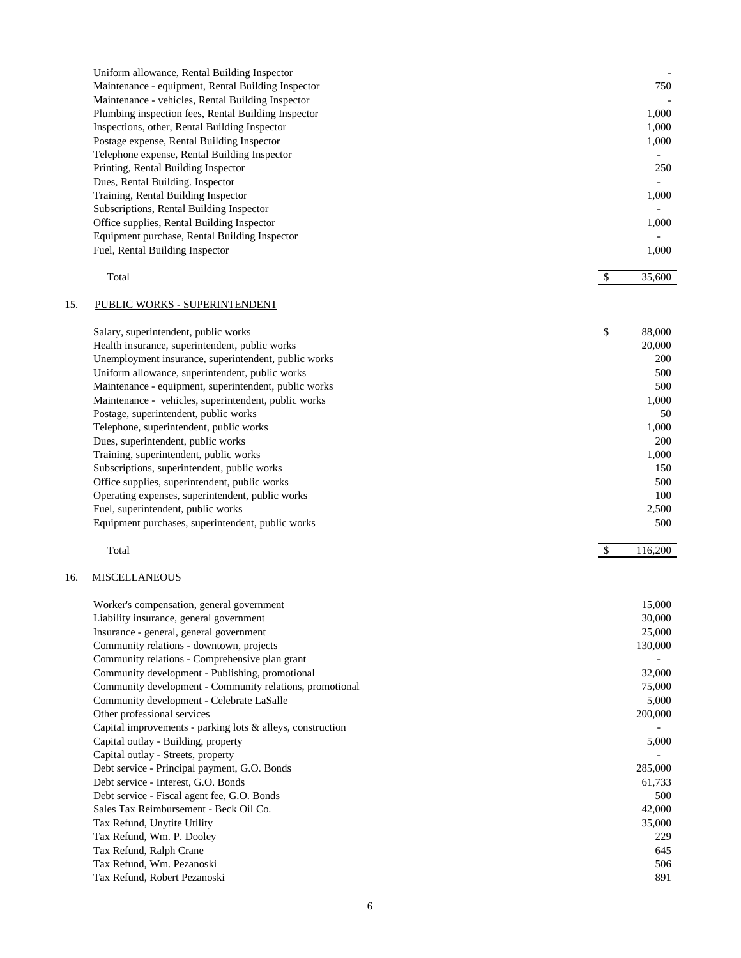|     | Uniform allowance, Rental Building Inspector               |               |         |
|-----|------------------------------------------------------------|---------------|---------|
|     | Maintenance - equipment, Rental Building Inspector         |               | 750     |
|     | Maintenance - vehicles, Rental Building Inspector          |               |         |
|     | Plumbing inspection fees, Rental Building Inspector        |               | 1,000   |
|     | Inspections, other, Rental Building Inspector              |               | 1,000   |
|     | Postage expense, Rental Building Inspector                 |               | 1,000   |
|     | Telephone expense, Rental Building Inspector               |               |         |
|     |                                                            |               | 250     |
|     | Printing, Rental Building Inspector                        |               |         |
|     | Dues, Rental Building. Inspector                           |               |         |
|     | Training, Rental Building Inspector                        |               | 1,000   |
|     | Subscriptions, Rental Building Inspector                   |               |         |
|     | Office supplies, Rental Building Inspector                 |               | 1,000   |
|     | Equipment purchase, Rental Building Inspector              |               |         |
|     | Fuel, Rental Building Inspector                            |               | 1,000   |
|     | Total                                                      | $\mathbb{S}$  | 35,600  |
|     |                                                            |               |         |
| 15. | PUBLIC WORKS - SUPERINTENDENT                              |               |         |
|     | Salary, superintendent, public works                       | \$            | 88,000  |
|     | Health insurance, superintendent, public works             |               | 20,000  |
|     | Unemployment insurance, superintendent, public works       |               | 200     |
|     | Uniform allowance, superintendent, public works            |               | 500     |
|     |                                                            |               |         |
|     | Maintenance - equipment, superintendent, public works      |               | 500     |
|     | Maintenance - vehicles, superintendent, public works       |               | 1,000   |
|     | Postage, superintendent, public works                      |               | 50      |
|     | Telephone, superintendent, public works                    |               | 1,000   |
|     | Dues, superintendent, public works                         |               | 200     |
|     | Training, superintendent, public works                     |               | 1,000   |
|     | Subscriptions, superintendent, public works                |               | 150     |
|     | Office supplies, superintendent, public works              |               | 500     |
|     | Operating expenses, superintendent, public works           |               | 100     |
|     | Fuel, superintendent, public works                         |               | 2,500   |
|     | Equipment purchases, superintendent, public works          |               | 500     |
|     | Total                                                      | $\mathcal{S}$ | 116,200 |
|     |                                                            |               |         |
| 16. | <b>MISCELLANEOUS</b>                                       |               |         |
|     | Worker's compensation, general government                  |               | 15,000  |
|     | Liability insurance, general government                    |               | 30,000  |
|     | Insurance - general, general government                    |               | 25,000  |
|     | Community relations - downtown, projects                   |               | 130,000 |
|     | Community relations - Comprehensive plan grant             |               |         |
|     |                                                            |               |         |
|     | Community development - Publishing, promotional            |               | 32,000  |
|     | Community development - Community relations, promotional   |               | 75,000  |
|     | Community development - Celebrate LaSalle                  |               | 5,000   |
|     | Other professional services                                |               | 200,000 |
|     | Capital improvements - parking lots & alleys, construction |               |         |
|     | Capital outlay - Building, property                        |               | 5,000   |
|     | Capital outlay - Streets, property                         |               |         |
|     | Debt service - Principal payment, G.O. Bonds               |               | 285,000 |
|     | Debt service - Interest, G.O. Bonds                        |               | 61,733  |
|     | Debt service - Fiscal agent fee, G.O. Bonds                |               | 500     |
|     | Sales Tax Reimbursement - Beck Oil Co.                     |               | 42,000  |
|     | Tax Refund, Unytite Utility                                |               | 35,000  |
|     | Tax Refund, Wm. P. Dooley                                  |               | 229     |
|     | Tax Refund, Ralph Crane                                    |               | 645     |
|     | Tax Refund, Wm. Pezanoski                                  |               | 506     |
|     | Tax Refund, Robert Pezanoski                               |               | 891     |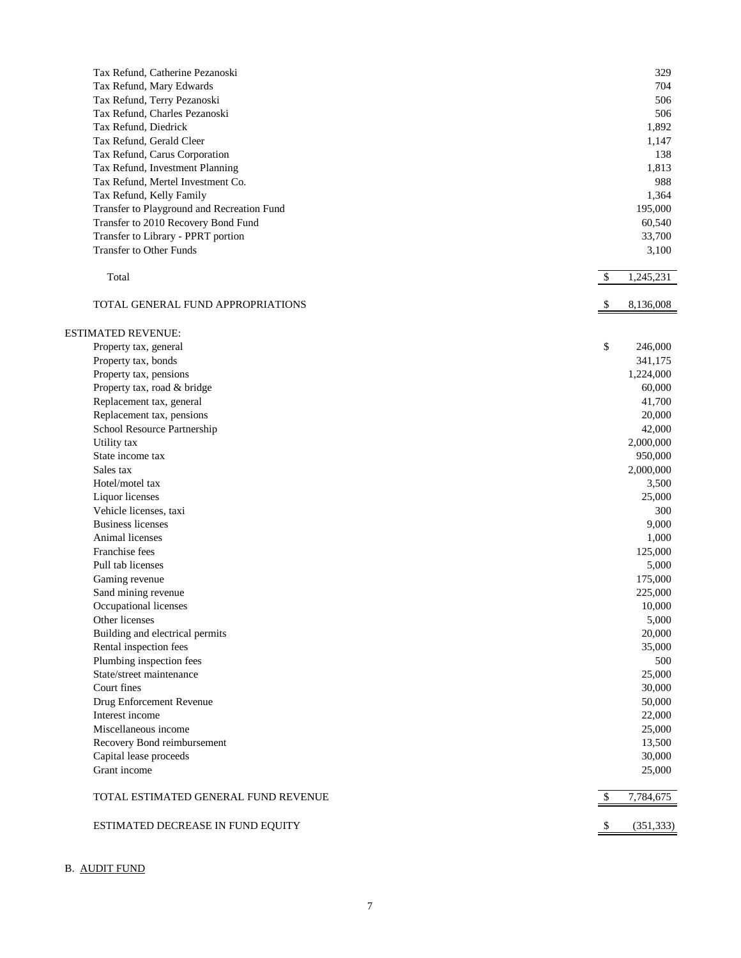| Tax Refund, Catherine Pezanoski            | 329              |
|--------------------------------------------|------------------|
| Tax Refund, Mary Edwards                   | 704              |
| Tax Refund, Terry Pezanoski                | 506              |
| Tax Refund, Charles Pezanoski              | 506              |
| Tax Refund, Diedrick                       | 1,892            |
| Tax Refund, Gerald Cleer                   | 1,147            |
| Tax Refund, Carus Corporation              | 138              |
| Tax Refund, Investment Planning            | 1,813            |
| Tax Refund, Mertel Investment Co.          | 988              |
| Tax Refund, Kelly Family                   | 1,364            |
| Transfer to Playground and Recreation Fund | 195,000          |
| Transfer to 2010 Recovery Bond Fund        | 60,540           |
| Transfer to Library - PPRT portion         | 33,700           |
| Transfer to Other Funds                    | 3,100            |
|                                            |                  |
| Total                                      | \$<br>1,245,231  |
| TOTAL GENERAL FUND APPROPRIATIONS          | 8,136,008        |
|                                            |                  |
| <b>ESTIMATED REVENUE:</b>                  |                  |
| Property tax, general                      | \$<br>246,000    |
| Property tax, bonds                        | 341,175          |
| Property tax, pensions                     | 1,224,000        |
| Property tax, road & bridge                | 60,000           |
| Replacement tax, general                   | 41,700           |
| Replacement tax, pensions                  | 20,000           |
| School Resource Partnership                | 42,000           |
| Utility tax                                | 2,000,000        |
| State income tax                           | 950,000          |
| Sales tax                                  | 2,000,000        |
| Hotel/motel tax                            | 3,500            |
| Liquor licenses                            | 25,000           |
| Vehicle licenses, taxi                     | 300              |
| <b>Business licenses</b>                   | 9,000            |
| Animal licenses                            | 1,000            |
| Franchise fees                             | 125,000          |
| Pull tab licenses                          | 5,000            |
| Gaming revenue                             | 175,000          |
| Sand mining revenue                        | 225,000          |
| Occupational licenses                      | 10,000           |
| Other licenses                             | 5,000            |
| Building and electrical permits            | 20,000           |
| Rental inspection fees                     | 35,000           |
| Plumbing inspection fees                   |                  |
|                                            | 500              |
| State/street maintenance                   | 25,000           |
| Court fines                                | 30,000           |
| Drug Enforcement Revenue                   | 50,000           |
| Interest income                            | 22,000           |
| Miscellaneous income                       | 25,000           |
| Recovery Bond reimbursement                | 13,500           |
| Capital lease proceeds                     | 30,000           |
| Grant income                               | 25,000           |
| TOTAL ESTIMATED GENERAL FUND REVENUE       | 7,784,675        |
| ESTIMATED DECREASE IN FUND EQUITY          | \$<br>(351, 333) |

# B. AUDIT FUND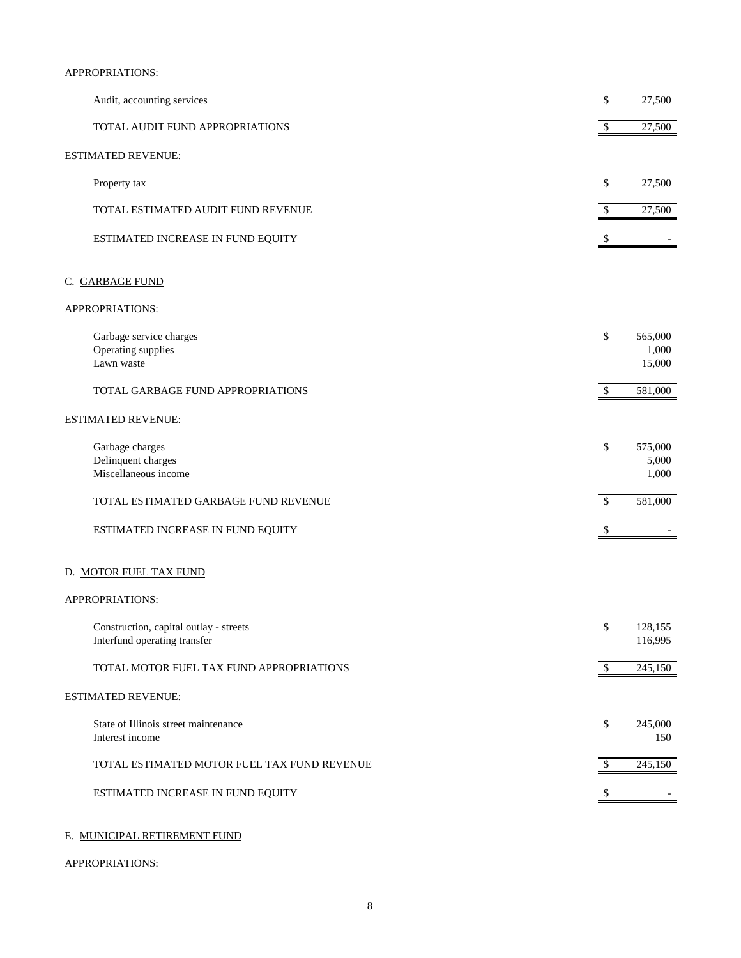### APPROPRIATIONS:

| Audit, accounting services                                             | \$           | 27,500                     |
|------------------------------------------------------------------------|--------------|----------------------------|
| TOTAL AUDIT FUND APPROPRIATIONS                                        | $\mathbb{S}$ | 27,500                     |
| <b>ESTIMATED REVENUE:</b>                                              |              |                            |
| Property tax                                                           | \$           | 27,500                     |
| TOTAL ESTIMATED AUDIT FUND REVENUE                                     | \$           | 27,500                     |
| ESTIMATED INCREASE IN FUND EQUITY                                      | \$           |                            |
| C. GARBAGE FUND                                                        |              |                            |
| APPROPRIATIONS:                                                        |              |                            |
| Garbage service charges<br>Operating supplies<br>Lawn waste            | \$           | 565,000<br>1,000<br>15,000 |
| TOTAL GARBAGE FUND APPROPRIATIONS                                      | \$           | 581,000                    |
| <b>ESTIMATED REVENUE:</b>                                              |              |                            |
| Garbage charges<br>Delinquent charges<br>Miscellaneous income          | \$           | 575,000<br>5,000<br>1,000  |
| TOTAL ESTIMATED GARBAGE FUND REVENUE                                   | \$           | 581,000                    |
| ESTIMATED INCREASE IN FUND EQUITY                                      |              |                            |
| D. MOTOR FUEL TAX FUND                                                 |              |                            |
| APPROPRIATIONS:                                                        |              |                            |
| Construction, capital outlay - streets<br>Interfund operating transfer | \$           | 128,155<br>116,995         |
| TOTAL MOTOR FUEL TAX FUND APPROPRIATIONS                               | \$           | 245,150                    |
| <b>ESTIMATED REVENUE:</b>                                              |              |                            |
| State of Illinois street maintenance<br>Interest income                | \$           | 245,000<br>150             |
| TOTAL ESTIMATED MOTOR FUEL TAX FUND REVENUE                            | \$           | 245,150                    |
| ESTIMATED INCREASE IN FUND EQUITY                                      | \$           |                            |
|                                                                        |              |                            |

# E. MUNICIPAL RETIREMENT FUND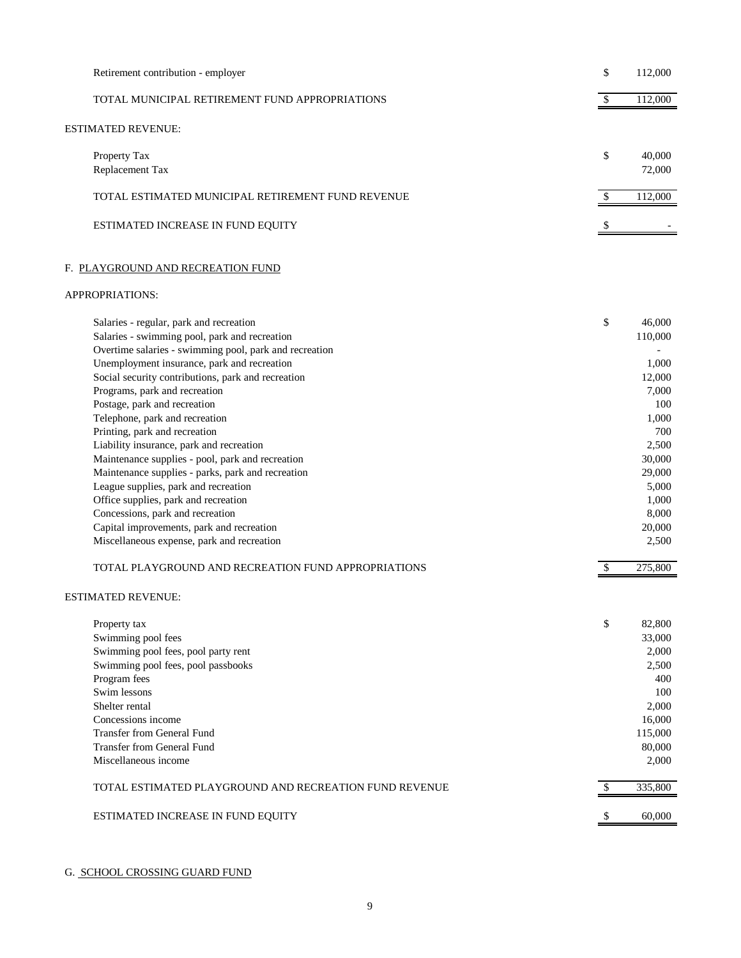| Retirement contribution - employer                                                                                                                                                                                                                                                                                                                                                                                                                                                                                                                                                                                                                                                                                                                                                                                     | \$<br>112,000                                                                                                                                                         |
|------------------------------------------------------------------------------------------------------------------------------------------------------------------------------------------------------------------------------------------------------------------------------------------------------------------------------------------------------------------------------------------------------------------------------------------------------------------------------------------------------------------------------------------------------------------------------------------------------------------------------------------------------------------------------------------------------------------------------------------------------------------------------------------------------------------------|-----------------------------------------------------------------------------------------------------------------------------------------------------------------------|
| TOTAL MUNICIPAL RETIREMENT FUND APPROPRIATIONS                                                                                                                                                                                                                                                                                                                                                                                                                                                                                                                                                                                                                                                                                                                                                                         | \$<br>112,000                                                                                                                                                         |
| ESTIMATED REVENUE:                                                                                                                                                                                                                                                                                                                                                                                                                                                                                                                                                                                                                                                                                                                                                                                                     |                                                                                                                                                                       |
| Property Tax<br>Replacement Tax                                                                                                                                                                                                                                                                                                                                                                                                                                                                                                                                                                                                                                                                                                                                                                                        | \$<br>40,000<br>72,000                                                                                                                                                |
| TOTAL ESTIMATED MUNICIPAL RETIREMENT FUND REVENUE                                                                                                                                                                                                                                                                                                                                                                                                                                                                                                                                                                                                                                                                                                                                                                      | 112,000<br>\$                                                                                                                                                         |
| ESTIMATED INCREASE IN FUND EQUITY                                                                                                                                                                                                                                                                                                                                                                                                                                                                                                                                                                                                                                                                                                                                                                                      |                                                                                                                                                                       |
| F. PLAYGROUND AND RECREATION FUND                                                                                                                                                                                                                                                                                                                                                                                                                                                                                                                                                                                                                                                                                                                                                                                      |                                                                                                                                                                       |
| APPROPRIATIONS:                                                                                                                                                                                                                                                                                                                                                                                                                                                                                                                                                                                                                                                                                                                                                                                                        |                                                                                                                                                                       |
| Salaries - regular, park and recreation<br>Salaries - swimming pool, park and recreation<br>Overtime salaries - swimming pool, park and recreation<br>Unemployment insurance, park and recreation<br>Social security contributions, park and recreation<br>Programs, park and recreation<br>Postage, park and recreation<br>Telephone, park and recreation<br>Printing, park and recreation<br>Liability insurance, park and recreation<br>Maintenance supplies - pool, park and recreation<br>Maintenance supplies - parks, park and recreation<br>League supplies, park and recreation<br>Office supplies, park and recreation<br>Concessions, park and recreation<br>Capital improvements, park and recreation<br>Miscellaneous expense, park and recreation<br>TOTAL PLAYGROUND AND RECREATION FUND APPROPRIATIONS | \$<br>46,000<br>110,000<br>1,000<br>12,000<br>7,000<br>100<br>1,000<br>700<br>2,500<br>30,000<br>29,000<br>5,000<br>1,000<br>8,000<br>20,000<br>2,500<br>275,800<br>S |
| ESTIMATED REVENUE:                                                                                                                                                                                                                                                                                                                                                                                                                                                                                                                                                                                                                                                                                                                                                                                                     |                                                                                                                                                                       |
| Property tax<br>Swimming pool fees<br>Swimming pool fees, pool party rent<br>Swimming pool fees, pool passbooks<br>Program fees<br>Swim lessons<br>Shelter rental<br>Concessions income<br><b>Transfer from General Fund</b><br><b>Transfer from General Fund</b><br>Miscellaneous income                                                                                                                                                                                                                                                                                                                                                                                                                                                                                                                              | \$<br>82,800<br>33,000<br>2,000<br>2,500<br>400<br>100<br>2,000<br>16,000<br>115,000<br>80,000<br>2,000                                                               |
| TOTAL ESTIMATED PLAYGROUND AND RECREATION FUND REVENUE                                                                                                                                                                                                                                                                                                                                                                                                                                                                                                                                                                                                                                                                                                                                                                 | 335,800<br>S                                                                                                                                                          |
| ESTIMATED INCREASE IN FUND EQUITY                                                                                                                                                                                                                                                                                                                                                                                                                                                                                                                                                                                                                                                                                                                                                                                      | 60,000<br>\$                                                                                                                                                          |

# G. SCHOOL CROSSING GUARD FUND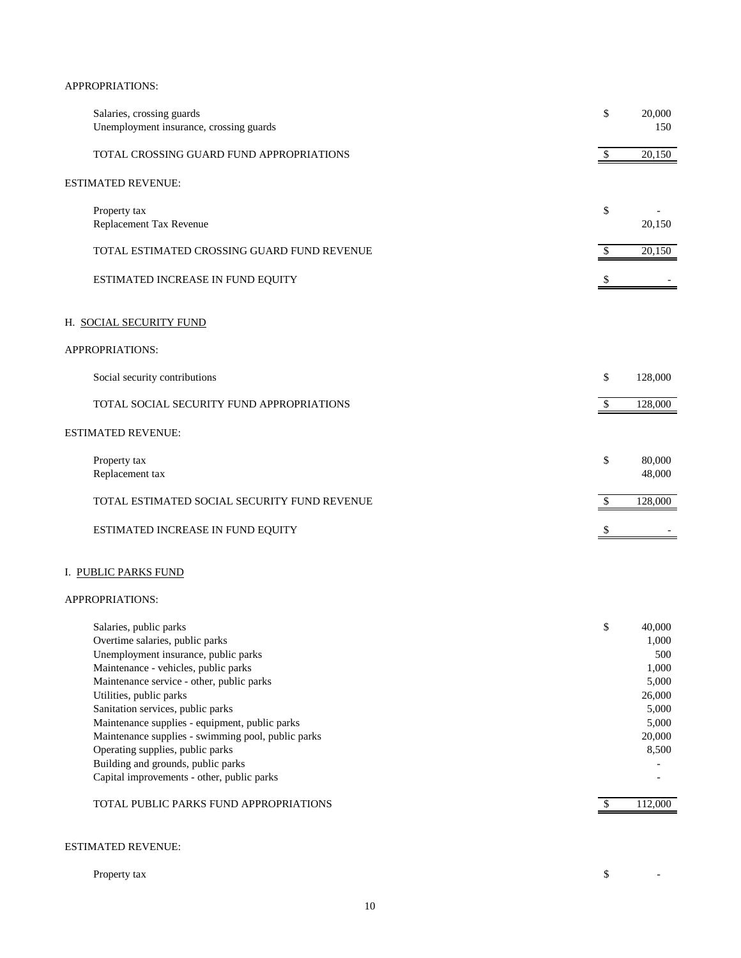| Salaries, crossing guards<br>Unemployment insurance, crossing guards                                                                                                                                                                                                                                                                                                                                                                                                                                                             | \$                        | 20,000<br>150                                                                                      |
|----------------------------------------------------------------------------------------------------------------------------------------------------------------------------------------------------------------------------------------------------------------------------------------------------------------------------------------------------------------------------------------------------------------------------------------------------------------------------------------------------------------------------------|---------------------------|----------------------------------------------------------------------------------------------------|
| TOTAL CROSSING GUARD FUND APPROPRIATIONS                                                                                                                                                                                                                                                                                                                                                                                                                                                                                         | $\boldsymbol{\mathsf{S}}$ | 20,150                                                                                             |
| ESTIMATED REVENUE:                                                                                                                                                                                                                                                                                                                                                                                                                                                                                                               |                           |                                                                                                    |
| Property tax<br>Replacement Tax Revenue                                                                                                                                                                                                                                                                                                                                                                                                                                                                                          | \$                        | 20,150                                                                                             |
| TOTAL ESTIMATED CROSSING GUARD FUND REVENUE                                                                                                                                                                                                                                                                                                                                                                                                                                                                                      | \$                        | 20,150                                                                                             |
| ESTIMATED INCREASE IN FUND EQUITY                                                                                                                                                                                                                                                                                                                                                                                                                                                                                                | \$                        |                                                                                                    |
| H. SOCIAL SECURITY FUND                                                                                                                                                                                                                                                                                                                                                                                                                                                                                                          |                           |                                                                                                    |
| APPROPRIATIONS:                                                                                                                                                                                                                                                                                                                                                                                                                                                                                                                  |                           |                                                                                                    |
| Social security contributions                                                                                                                                                                                                                                                                                                                                                                                                                                                                                                    | \$                        | 128,000                                                                                            |
| TOTAL SOCIAL SECURITY FUND APPROPRIATIONS                                                                                                                                                                                                                                                                                                                                                                                                                                                                                        | \$                        | 128,000                                                                                            |
| ESTIMATED REVENUE:                                                                                                                                                                                                                                                                                                                                                                                                                                                                                                               |                           |                                                                                                    |
| Property tax<br>Replacement tax                                                                                                                                                                                                                                                                                                                                                                                                                                                                                                  | \$                        | 80,000<br>48,000                                                                                   |
| TOTAL ESTIMATED SOCIAL SECURITY FUND REVENUE                                                                                                                                                                                                                                                                                                                                                                                                                                                                                     | $\boldsymbol{\mathsf{S}}$ | 128,000                                                                                            |
| ESTIMATED INCREASE IN FUND EQUITY                                                                                                                                                                                                                                                                                                                                                                                                                                                                                                | $\mathbb{S}$              |                                                                                                    |
| I. PUBLIC PARKS FUND                                                                                                                                                                                                                                                                                                                                                                                                                                                                                                             |                           |                                                                                                    |
| APPROPRIATIONS:                                                                                                                                                                                                                                                                                                                                                                                                                                                                                                                  |                           |                                                                                                    |
| Salaries, public parks<br>Overtime salaries, public parks<br>Unemployment insurance, public parks<br>Maintenance - vehicles, public parks<br>Maintenance service - other, public parks<br>Utilities, public parks<br>Sanitation services, public parks<br>Maintenance supplies - equipment, public parks<br>Maintenance supplies - swimming pool, public parks<br>Operating supplies, public parks<br>Building and grounds, public parks<br>Capital improvements - other, public parks<br>TOTAL PUBLIC PARKS FUND APPROPRIATIONS | \$<br>\$                  | 40,000<br>1,000<br>500<br>1,000<br>5,000<br>26,000<br>5,000<br>5,000<br>20,000<br>8,500<br>112,000 |
|                                                                                                                                                                                                                                                                                                                                                                                                                                                                                                                                  |                           |                                                                                                    |
| ESTIMATED REVENUE:                                                                                                                                                                                                                                                                                                                                                                                                                                                                                                               |                           |                                                                                                    |

| Property tax | $\overline{\phantom{a}}$<br>◡ | $\overline{\phantom{0}}$ |
|--------------|-------------------------------|--------------------------|
|              |                               |                          |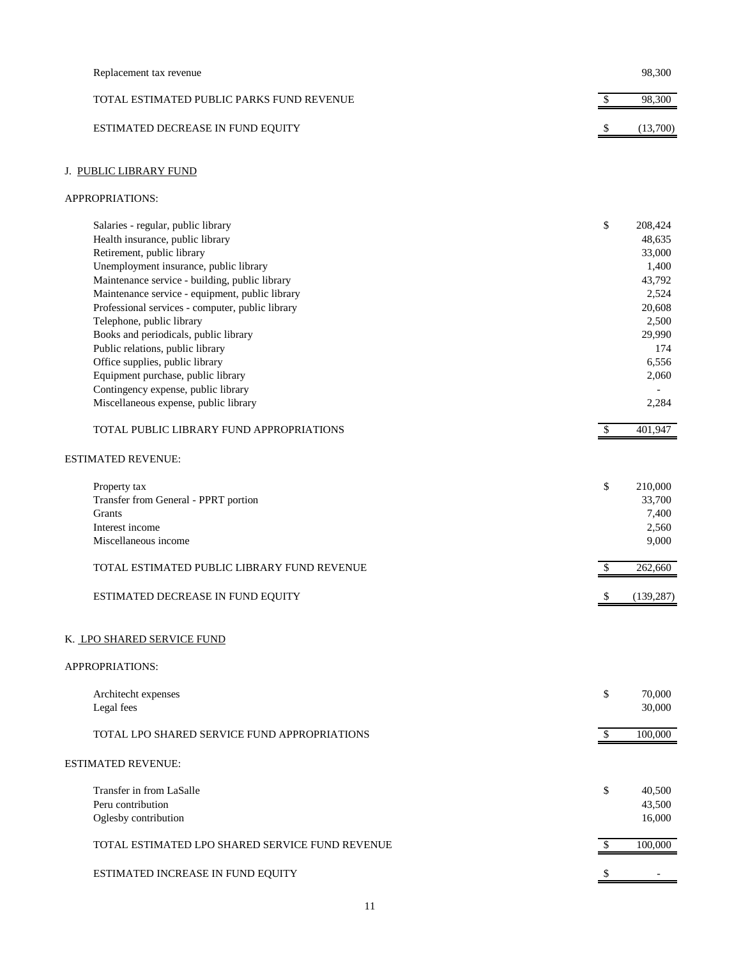| Replacement tax revenue                          |              | 98,300           |
|--------------------------------------------------|--------------|------------------|
| TOTAL ESTIMATED PUBLIC PARKS FUND REVENUE        | \$           | 98,300           |
| ESTIMATED DECREASE IN FUND EQUITY                | \$           | (13,700)         |
| J. PUBLIC LIBRARY FUND                           |              |                  |
| APPROPRIATIONS:                                  |              |                  |
| Salaries - regular, public library               | \$           | 208,424          |
| Health insurance, public library                 |              | 48,635           |
| Retirement, public library                       |              | 33,000           |
| Unemployment insurance, public library           |              | 1,400            |
| Maintenance service - building, public library   |              | 43,792           |
| Maintenance service - equipment, public library  |              | 2,524            |
| Professional services - computer, public library |              | 20,608           |
| Telephone, public library                        |              | 2,500            |
| Books and periodicals, public library            |              | 29,990           |
| Public relations, public library                 |              | 174              |
| Office supplies, public library                  |              | 6,556            |
| Equipment purchase, public library               |              | 2,060            |
| Contingency expense, public library              |              |                  |
| Miscellaneous expense, public library            |              | 2,284            |
| TOTAL PUBLIC LIBRARY FUND APPROPRIATIONS         | \$           | 401,947          |
|                                                  |              |                  |
| ESTIMATED REVENUE:                               |              |                  |
| Property tax                                     | \$           | 210,000          |
| Transfer from General - PPRT portion             |              | 33,700           |
| Grants                                           |              | 7,400            |
| Interest income                                  |              | 2,560            |
| Miscellaneous income                             |              | 9,000            |
| TOTAL ESTIMATED PUBLIC LIBRARY FUND REVENUE      | \$           | 262,660          |
| ESTIMATED DECREASE IN FUND EQUITY                | \$           | (139, 287)       |
| K. <u>LPO SHARED SERVICE FUND</u>                |              |                  |
| APPROPRIATIONS:                                  |              |                  |
|                                                  |              |                  |
| Architecht expenses<br>Legal fees                | \$           | 70,000<br>30,000 |
|                                                  |              |                  |
| TOTAL LPO SHARED SERVICE FUND APPROPRIATIONS     | $\mathbb{S}$ | 100,000          |
| ESTIMATED REVENUE:                               |              |                  |
| Transfer in from LaSalle                         | \$           | 40,500           |
| Peru contribution                                |              | 43,500           |
| Oglesby contribution                             |              | 16,000           |
| TOTAL ESTIMATED LPO SHARED SERVICE FUND REVENUE  | \$           | 100,000          |
| ESTIMATED INCREASE IN FUND EQUITY                |              |                  |
|                                                  |              |                  |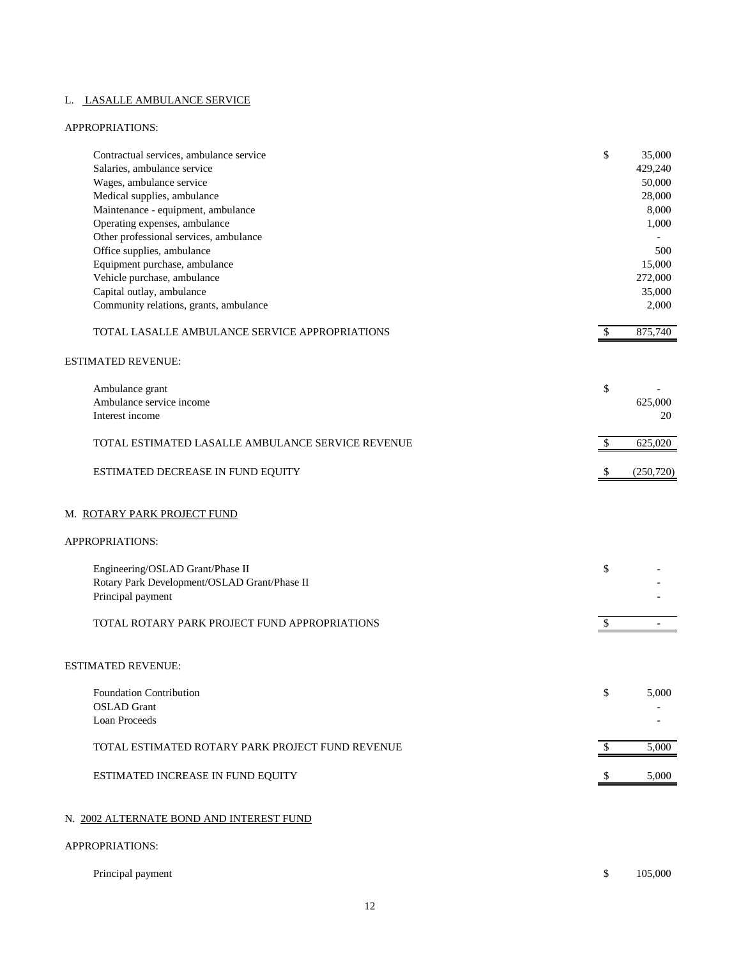# L. LASALLE AMBULANCE SERVICE

| Contractual services, ambulance service           | \$                        | 35,000     |
|---------------------------------------------------|---------------------------|------------|
| Salaries, ambulance service                       |                           | 429,240    |
| Wages, ambulance service                          |                           | 50,000     |
| Medical supplies, ambulance                       |                           | 28,000     |
| Maintenance - equipment, ambulance                |                           | 8,000      |
| Operating expenses, ambulance                     |                           | 1,000      |
| Other professional services, ambulance            |                           |            |
| Office supplies, ambulance                        |                           | 500        |
| Equipment purchase, ambulance                     |                           | 15,000     |
| Vehicle purchase, ambulance                       |                           | 272,000    |
| Capital outlay, ambulance                         |                           | 35,000     |
| Community relations, grants, ambulance            |                           | 2,000      |
| TOTAL LASALLE AMBULANCE SERVICE APPROPRIATIONS    | \$                        | 875,740    |
| <b>ESTIMATED REVENUE:</b>                         |                           |            |
| Ambulance grant                                   | \$                        |            |
| Ambulance service income                          |                           | 625,000    |
| Interest income                                   |                           | 20         |
| TOTAL ESTIMATED LASALLE AMBULANCE SERVICE REVENUE | \$                        | 625,020    |
| ESTIMATED DECREASE IN FUND EQUITY                 | -S                        | (250, 720) |
| M. ROTARY PARK PROJECT FUND<br>APPROPRIATIONS:    |                           |            |
|                                                   |                           |            |
| Engineering/OSLAD Grant/Phase II                  | \$                        |            |
| Rotary Park Development/OSLAD Grant/Phase II      |                           |            |
| Principal payment                                 |                           |            |
| TOTAL ROTARY PARK PROJECT FUND APPROPRIATIONS     | \$                        |            |
| ESTIMATED REVENUE:                                |                           |            |
| Foundation Contribution                           | \$                        | 5,000      |
| <b>OSLAD</b> Grant                                |                           |            |
| Loan Proceeds                                     |                           |            |
| TOTAL ESTIMATED ROTARY PARK PROJECT FUND REVENUE  | $\boldsymbol{\mathsf{S}}$ | 5,000      |
| ESTIMATED INCREASE IN FUND EQUITY                 | -\$                       | 5,000      |
| N. 2002 ALTERNATE BOND AND INTEREST FUND          |                           |            |
| APPROPRIATIONS:                                   |                           |            |
|                                                   |                           |            |

| Principal payment |  | 105,000 |
|-------------------|--|---------|
|-------------------|--|---------|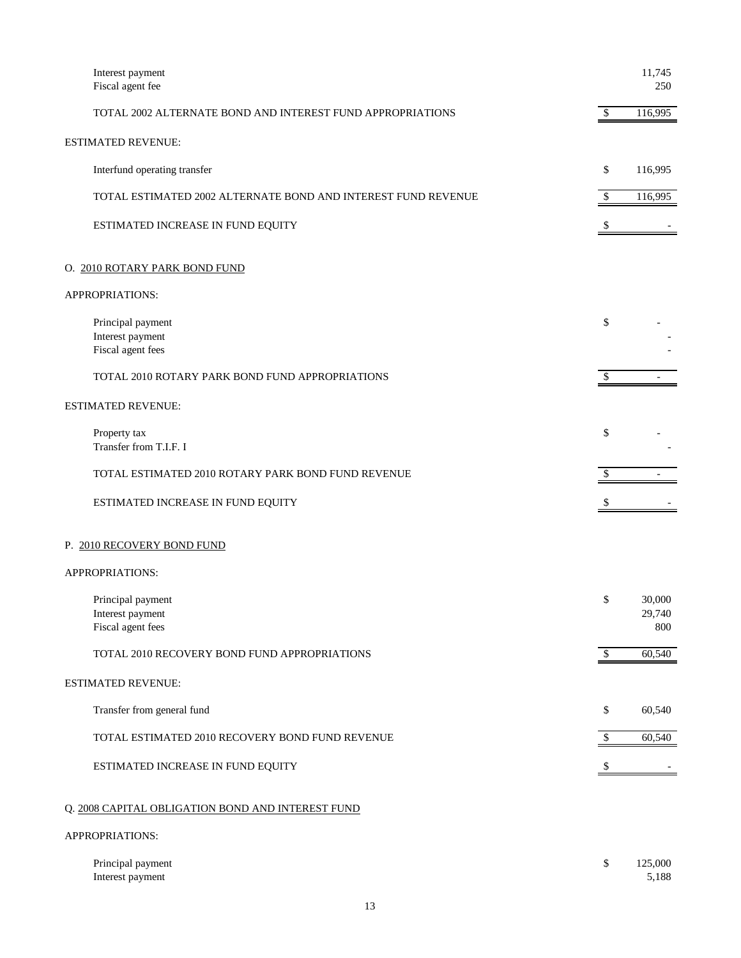| Interest payment<br>Fiscal agent fee                          |        | 11,745<br>250           |
|---------------------------------------------------------------|--------|-------------------------|
| TOTAL 2002 ALTERNATE BOND AND INTEREST FUND APPROPRIATIONS    | \$     | 116,995                 |
| <b>ESTIMATED REVENUE:</b>                                     |        |                         |
| Interfund operating transfer                                  | \$     | 116,995                 |
| TOTAL ESTIMATED 2002 ALTERNATE BOND AND INTEREST FUND REVENUE | \$     | 116,995                 |
| ESTIMATED INCREASE IN FUND EQUITY                             |        |                         |
| O. 2010 ROTARY PARK BOND FUND                                 |        |                         |
| APPROPRIATIONS:                                               |        |                         |
| Principal payment<br>Interest payment<br>Fiscal agent fees    | \$     |                         |
| TOTAL 2010 ROTARY PARK BOND FUND APPROPRIATIONS               | \$     |                         |
| <b>ESTIMATED REVENUE:</b>                                     |        |                         |
| Property tax<br>Transfer from T.I.F. I                        | \$     |                         |
| TOTAL ESTIMATED 2010 ROTARY PARK BOND FUND REVENUE            | \$     |                         |
| ESTIMATED INCREASE IN FUND EQUITY                             | \$     |                         |
| P. 2010 RECOVERY BOND FUND                                    |        |                         |
| APPROPRIATIONS:                                               |        |                         |
| Principal payment<br>Interest payment<br>Fiscal agent fees    | \$     | 30,000<br>29,740<br>800 |
| TOTAL 2010 RECOVERY BOND FUND APPROPRIATIONS                  | \$     | 60,540                  |
| ESTIMATED REVENUE:                                            |        |                         |
| Transfer from general fund                                    | \$     | 60,540                  |
| TOTAL ESTIMATED 2010 RECOVERY BOND FUND REVENUE               | \$     | 60,540                  |
| ESTIMATED INCREASE IN FUND EQUITY                             | $\$\,$ |                         |
| Q. 2008 CAPITAL OBLIGATION BOND AND INTEREST FUND             |        |                         |
| APPROPRIATIONS:                                               |        |                         |
| Principal payment<br>Interest payment                         | \$     | 125,000<br>5,188        |
|                                                               |        |                         |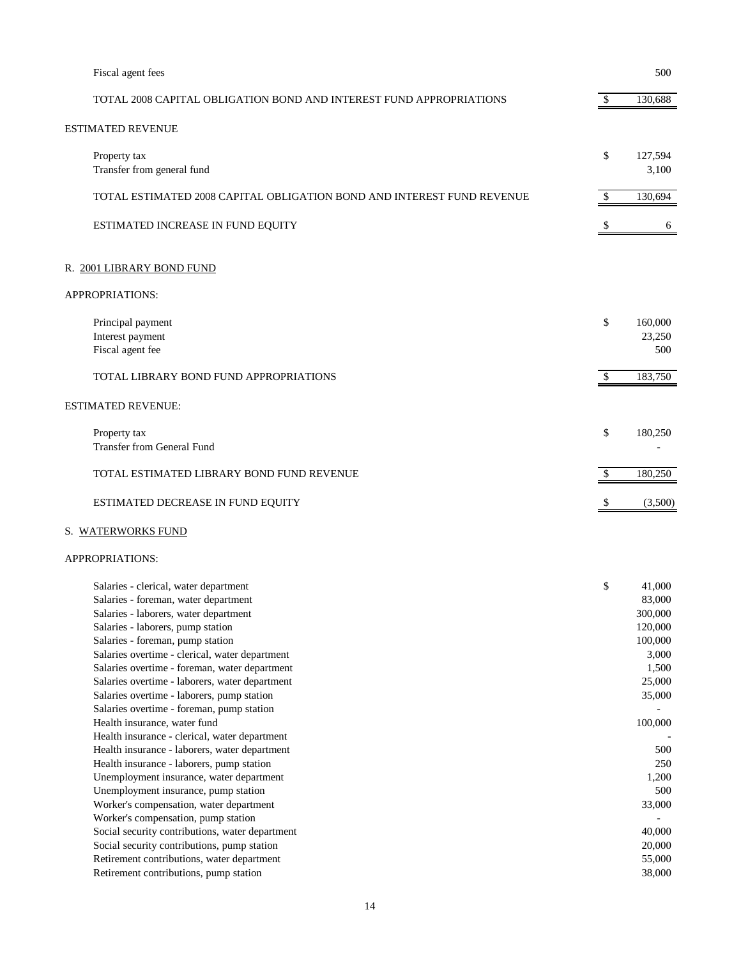| Fiscal agent fees                                                                                                                                                                                                                                                                                                                                                                                                                                                                                                                                                                                                                                                                                                                                                                                                                                                                                      |               | 500                                                                                                                                                            |
|--------------------------------------------------------------------------------------------------------------------------------------------------------------------------------------------------------------------------------------------------------------------------------------------------------------------------------------------------------------------------------------------------------------------------------------------------------------------------------------------------------------------------------------------------------------------------------------------------------------------------------------------------------------------------------------------------------------------------------------------------------------------------------------------------------------------------------------------------------------------------------------------------------|---------------|----------------------------------------------------------------------------------------------------------------------------------------------------------------|
| TOTAL 2008 CAPITAL OBLIGATION BOND AND INTEREST FUND APPROPRIATIONS                                                                                                                                                                                                                                                                                                                                                                                                                                                                                                                                                                                                                                                                                                                                                                                                                                    | $\mathbb{S}$  | 130,688                                                                                                                                                        |
| ESTIMATED REVENUE                                                                                                                                                                                                                                                                                                                                                                                                                                                                                                                                                                                                                                                                                                                                                                                                                                                                                      |               |                                                                                                                                                                |
| Property tax<br>Transfer from general fund                                                                                                                                                                                                                                                                                                                                                                                                                                                                                                                                                                                                                                                                                                                                                                                                                                                             | \$            | 127,594<br>3,100                                                                                                                                               |
| TOTAL ESTIMATED 2008 CAPITAL OBLIGATION BOND AND INTEREST FUND REVENUE                                                                                                                                                                                                                                                                                                                                                                                                                                                                                                                                                                                                                                                                                                                                                                                                                                 | $\mathcal{S}$ | 130,694                                                                                                                                                        |
| ESTIMATED INCREASE IN FUND EQUITY                                                                                                                                                                                                                                                                                                                                                                                                                                                                                                                                                                                                                                                                                                                                                                                                                                                                      | \$            | 6                                                                                                                                                              |
| R. 2001 LIBRARY BOND FUND                                                                                                                                                                                                                                                                                                                                                                                                                                                                                                                                                                                                                                                                                                                                                                                                                                                                              |               |                                                                                                                                                                |
| APPROPRIATIONS:                                                                                                                                                                                                                                                                                                                                                                                                                                                                                                                                                                                                                                                                                                                                                                                                                                                                                        |               |                                                                                                                                                                |
| Principal payment<br>Interest payment<br>Fiscal agent fee                                                                                                                                                                                                                                                                                                                                                                                                                                                                                                                                                                                                                                                                                                                                                                                                                                              | \$            | 160,000<br>23,250<br>500                                                                                                                                       |
| TOTAL LIBRARY BOND FUND APPROPRIATIONS                                                                                                                                                                                                                                                                                                                                                                                                                                                                                                                                                                                                                                                                                                                                                                                                                                                                 | \$            | 183,750                                                                                                                                                        |
| ESTIMATED REVENUE:                                                                                                                                                                                                                                                                                                                                                                                                                                                                                                                                                                                                                                                                                                                                                                                                                                                                                     |               |                                                                                                                                                                |
| Property tax<br><b>Transfer from General Fund</b>                                                                                                                                                                                                                                                                                                                                                                                                                                                                                                                                                                                                                                                                                                                                                                                                                                                      | \$            | 180,250                                                                                                                                                        |
| TOTAL ESTIMATED LIBRARY BOND FUND REVENUE                                                                                                                                                                                                                                                                                                                                                                                                                                                                                                                                                                                                                                                                                                                                                                                                                                                              | \$            | 180,250                                                                                                                                                        |
| ESTIMATED DECREASE IN FUND EQUITY                                                                                                                                                                                                                                                                                                                                                                                                                                                                                                                                                                                                                                                                                                                                                                                                                                                                      | \$            | (3,500)                                                                                                                                                        |
| S. WATERWORKS FUND                                                                                                                                                                                                                                                                                                                                                                                                                                                                                                                                                                                                                                                                                                                                                                                                                                                                                     |               |                                                                                                                                                                |
| APPROPRIATIONS:                                                                                                                                                                                                                                                                                                                                                                                                                                                                                                                                                                                                                                                                                                                                                                                                                                                                                        |               |                                                                                                                                                                |
| Salaries - clerical, water department<br>Salaries - foreman, water department<br>Salaries - laborers, water department<br>Salaries - laborers, pump station<br>Salaries - foreman, pump station<br>Salaries overtime - clerical, water department<br>Salaries overtime - foreman, water department<br>Salaries overtime - laborers, water department<br>Salaries overtime - laborers, pump station<br>Salaries overtime - foreman, pump station<br>Health insurance, water fund<br>Health insurance - clerical, water department<br>Health insurance - laborers, water department<br>Health insurance - laborers, pump station<br>Unemployment insurance, water department<br>Unemployment insurance, pump station<br>Worker's compensation, water department<br>Worker's compensation, pump station<br>Social security contributions, water department<br>Social security contributions, pump station | \$            | 41,000<br>83,000<br>300,000<br>120,000<br>100,000<br>3,000<br>1,500<br>25,000<br>35,000<br>100,000<br>500<br>250<br>1,200<br>500<br>33,000<br>40,000<br>20,000 |
| Retirement contributions, water department<br>Retirement contributions, pump station                                                                                                                                                                                                                                                                                                                                                                                                                                                                                                                                                                                                                                                                                                                                                                                                                   |               | 55,000<br>38,000                                                                                                                                               |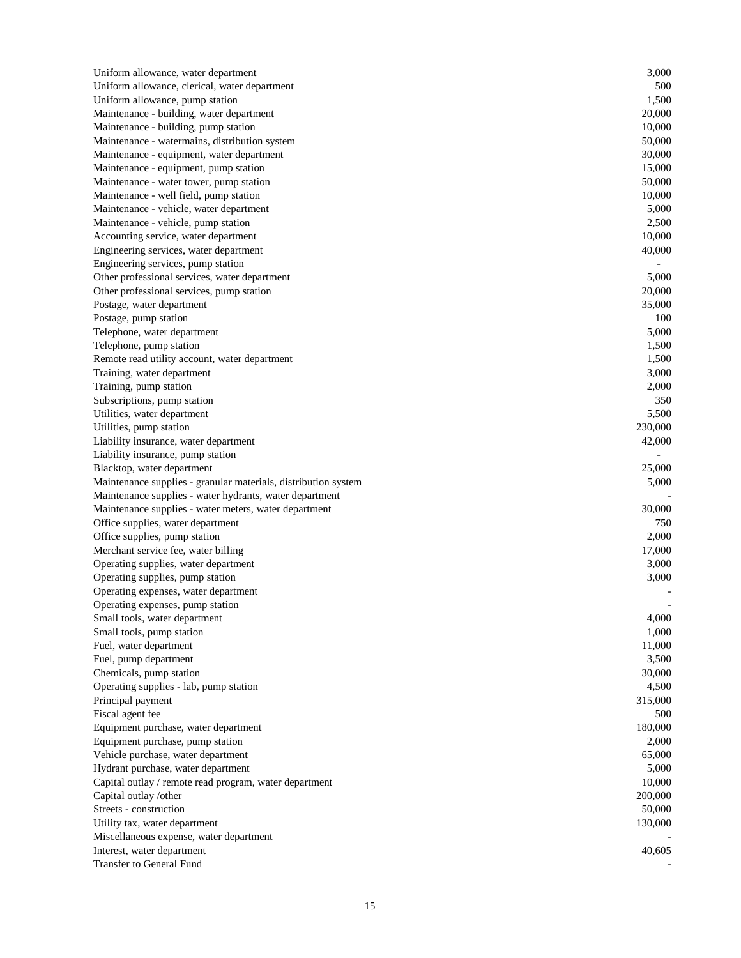| Uniform allowance, water department                                      | 3,000   |
|--------------------------------------------------------------------------|---------|
| Uniform allowance, clerical, water department                            | 500     |
| Uniform allowance, pump station                                          | 1,500   |
| Maintenance - building, water department                                 | 20,000  |
| Maintenance - building, pump station                                     | 10,000  |
| Maintenance - watermains, distribution system                            | 50,000  |
| Maintenance - equipment, water department                                | 30,000  |
| Maintenance - equipment, pump station                                    | 15,000  |
| Maintenance - water tower, pump station                                  | 50,000  |
| Maintenance - well field, pump station                                   | 10,000  |
| Maintenance - vehicle, water department                                  | 5,000   |
| Maintenance - vehicle, pump station                                      | 2,500   |
| Accounting service, water department                                     | 10,000  |
| Engineering services, water department                                   | 40,000  |
| Engineering services, pump station                                       |         |
| Other professional services, water department                            | 5,000   |
| Other professional services, pump station                                | 20,000  |
| Postage, water department                                                | 35,000  |
| Postage, pump station                                                    | 100     |
| Telephone, water department                                              | 5,000   |
| Telephone, pump station                                                  | 1,500   |
| Remote read utility account, water department                            | 1,500   |
| Training, water department                                               | 3,000   |
| Training, pump station                                                   | 2,000   |
| Subscriptions, pump station                                              | 350     |
| Utilities, water department                                              | 5,500   |
| Utilities, pump station                                                  | 230,000 |
| Liability insurance, water department                                    | 42,000  |
| Liability insurance, pump station                                        |         |
| Blacktop, water department                                               | 25,000  |
| Maintenance supplies - granular materials, distribution system           | 5,000   |
| Maintenance supplies - water hydrants, water department                  |         |
| Maintenance supplies - water meters, water department                    | 30,000  |
|                                                                          | 750     |
| Office supplies, water department                                        | 2,000   |
| Office supplies, pump station<br>Merchant service fee, water billing     | 17,000  |
|                                                                          | 3,000   |
| Operating supplies, water department                                     | 3,000   |
| Operating supplies, pump station<br>Operating expenses, water department |         |
|                                                                          |         |
| Operating expenses, pump station<br>Small tools, water department        |         |
|                                                                          | 4,000   |
| Small tools, pump station                                                | 1,000   |
| Fuel, water department                                                   | 11,000  |
| Fuel, pump department                                                    | 3,500   |
| Chemicals, pump station                                                  | 30,000  |
| Operating supplies - lab, pump station                                   | 4,500   |
| Principal payment                                                        | 315,000 |
| Fiscal agent fee                                                         | 500     |
| Equipment purchase, water department                                     | 180,000 |
| Equipment purchase, pump station                                         | 2,000   |
| Vehicle purchase, water department                                       | 65,000  |
| Hydrant purchase, water department                                       | 5,000   |
| Capital outlay / remote read program, water department                   | 10,000  |
| Capital outlay /other                                                    | 200,000 |
| Streets - construction                                                   | 50,000  |
| Utility tax, water department                                            | 130,000 |
| Miscellaneous expense, water department                                  |         |
| Interest, water department                                               | 40,605  |
| Transfer to General Fund                                                 |         |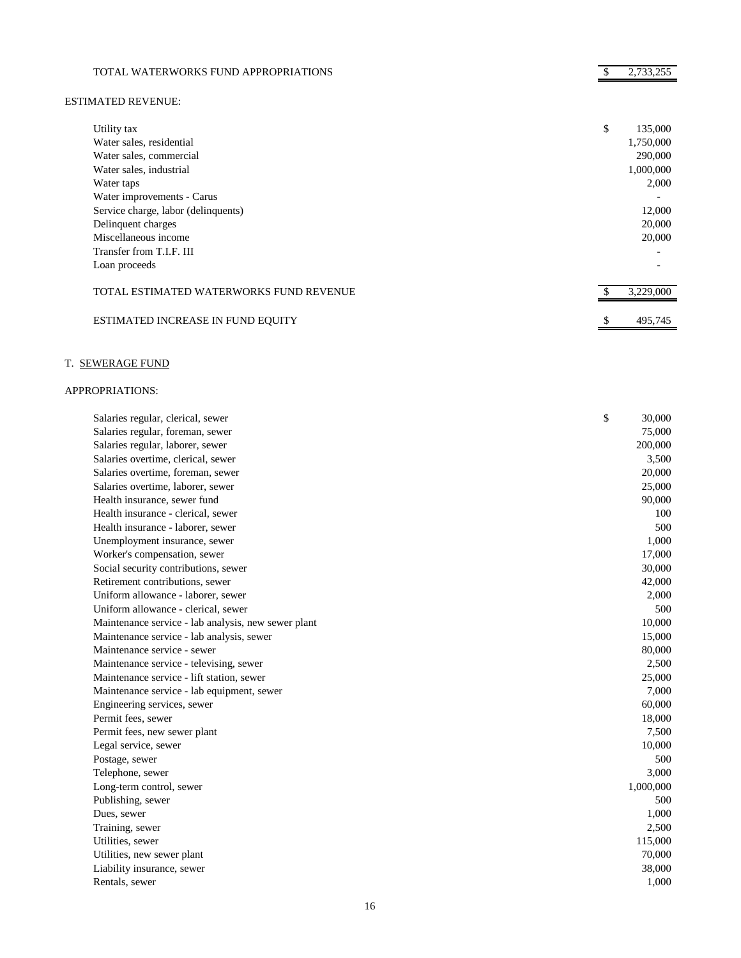| TOTAL WATERWORKS FUND APPROPRIATIONS    | 2,733,255     |
|-----------------------------------------|---------------|
| <b>ESTIMATED REVENUE:</b>               |               |
| Utility tax                             | \$<br>135,000 |
| Water sales, residential                | 1,750,000     |
| Water sales, commercial                 | 290,000       |
| Water sales, industrial                 | 1,000,000     |
| Water taps                              | 2,000         |
| Water improvements - Carus              |               |
| Service charge, labor (delinquents)     | 12,000        |
| Delinquent charges                      | 20,000        |
| Miscellaneous income                    | 20,000        |
| Transfer from T.I.F. III                |               |
| Loan proceeds                           |               |
| TOTAL ESTIMATED WATERWORKS FUND REVENUE | 3,229,000     |
| ESTIMATED INCREASE IN FUND EQUITY       | \$<br>495,745 |

# T. SEWERAGE FUND

| Salaries regular, clerical, sewer                   | \$<br>30,000 |
|-----------------------------------------------------|--------------|
| Salaries regular, foreman, sewer                    | 75,000       |
| Salaries regular, laborer, sewer                    | 200,000      |
| Salaries overtime, clerical, sewer                  | 3,500        |
| Salaries overtime, foreman, sewer                   | 20,000       |
| Salaries overtime, laborer, sewer                   | 25,000       |
| Health insurance, sewer fund                        | 90,000       |
| Health insurance - clerical, sewer                  | 100          |
| Health insurance - laborer, sewer                   | 500          |
| Unemployment insurance, sewer                       | 1,000        |
| Worker's compensation, sewer                        | 17,000       |
| Social security contributions, sewer                | 30,000       |
| Retirement contributions, sewer                     | 42,000       |
| Uniform allowance - laborer, sewer                  | 2,000        |
| Uniform allowance - clerical, sewer                 | 500          |
| Maintenance service - lab analysis, new sewer plant | 10,000       |
| Maintenance service - lab analysis, sewer           | 15,000       |
| Maintenance service - sewer                         | 80,000       |
| Maintenance service - televising, sewer             | 2,500        |
| Maintenance service - lift station, sewer           | 25,000       |
| Maintenance service - lab equipment, sewer          | 7,000        |
| Engineering services, sewer                         | 60,000       |
| Permit fees, sewer                                  | 18,000       |
| Permit fees, new sewer plant                        | 7,500        |
| Legal service, sewer                                | 10,000       |
| Postage, sewer                                      | 500          |
| Telephone, sewer                                    | 3,000        |
| Long-term control, sewer                            | 1,000,000    |
| Publishing, sewer                                   | 500          |
| Dues, sewer                                         | 1,000        |
| Training, sewer                                     | 2,500        |
| Utilities, sewer                                    | 115,000      |
| Utilities, new sewer plant                          | 70,000       |
| Liability insurance, sewer                          | 38,000       |
| Rentals, sewer                                      | 1,000        |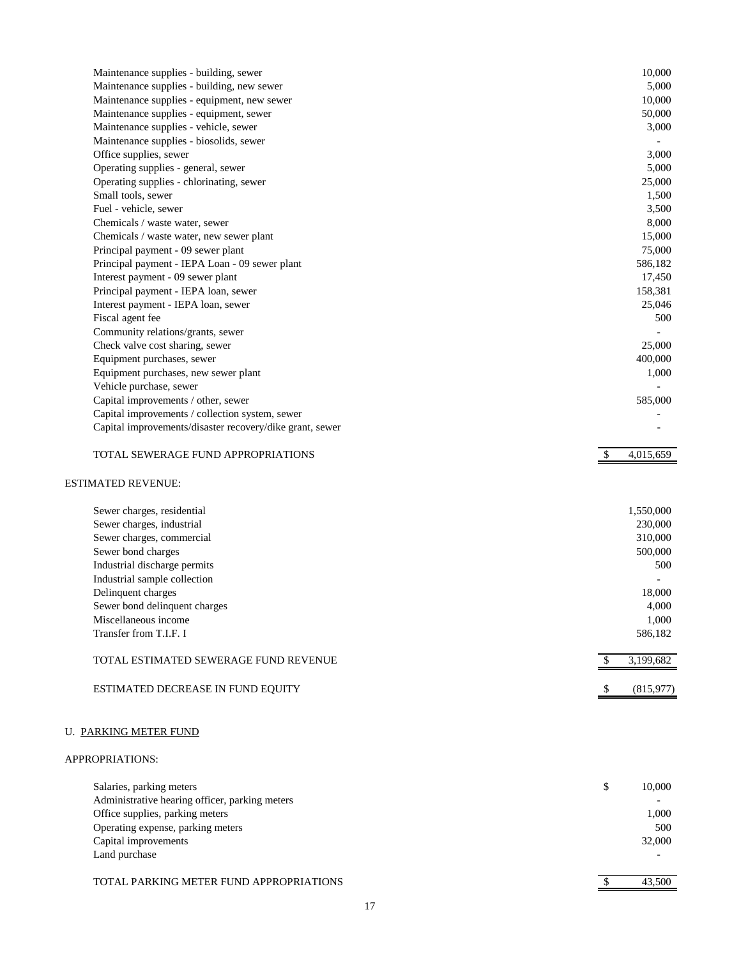| Maintenance supplies - building, sewer                   | 10,000                     |
|----------------------------------------------------------|----------------------------|
| Maintenance supplies - building, new sewer               | 5,000                      |
| Maintenance supplies - equipment, new sewer              | 10,000                     |
| Maintenance supplies - equipment, sewer                  | 50,000                     |
| Maintenance supplies - vehicle, sewer                    | 3,000                      |
| Maintenance supplies - biosolids, sewer                  |                            |
| Office supplies, sewer                                   | 3,000                      |
| Operating supplies - general, sewer                      | 5,000                      |
| Operating supplies - chlorinating, sewer                 | 25,000                     |
| Small tools, sewer                                       | 1,500                      |
| Fuel - vehicle, sewer                                    | 3,500                      |
| Chemicals / waste water, sewer                           | 8,000                      |
| Chemicals / waste water, new sewer plant                 | 15,000                     |
| Principal payment - 09 sewer plant                       | 75,000                     |
| Principal payment - IEPA Loan - 09 sewer plant           | 586,182                    |
| Interest payment - 09 sewer plant                        | 17,450                     |
| Principal payment - IEPA loan, sewer                     | 158,381                    |
| Interest payment - IEPA loan, sewer                      | 25,046                     |
| Fiscal agent fee                                         | 500                        |
| Community relations/grants, sewer                        |                            |
| Check valve cost sharing, sewer                          | 25,000                     |
| Equipment purchases, sewer                               | 400,000                    |
| Equipment purchases, new sewer plant                     | 1,000                      |
| Vehicle purchase, sewer                                  |                            |
| Capital improvements / other, sewer                      | 585,000                    |
| Capital improvements / collection system, sewer          |                            |
| Capital improvements/disaster recovery/dike grant, sewer |                            |
|                                                          |                            |
| TOTAL SEWERAGE FUND APPROPRIATIONS                       | 4,015,659<br>$\mathcal{S}$ |
| <b>ESTIMATED REVENUE:</b>                                |                            |
|                                                          |                            |
| Sewer charges, residential                               | 1,550,000                  |
| Sewer charges, industrial                                | 230,000                    |
| Sewer charges, commercial                                | 310,000                    |
| Sewer bond charges                                       | 500,000                    |
| Industrial discharge permits                             | 500                        |
| Industrial sample collection                             |                            |
| Delinquent charges                                       | 18,000                     |
| Sewer bond delinquent charges                            | 4,000                      |
| Miscellaneous income                                     | 1,000                      |
| Transfer from T.I.F. I                                   | 586,182                    |
|                                                          |                            |
| TOTAL ESTIMATED SEWERAGE FUND REVENUE                    | 3,199,682<br>\$.           |
| ESTIMATED DECREASE IN FUND EQUITY                        | (815,977)                  |
|                                                          |                            |
| U. PARKING METER FUND                                    |                            |
| APPROPRIATIONS:                                          |                            |
| Salaries, parking meters                                 | \$<br>10,000               |
| Administrative hearing officer, parking meters           |                            |
| Office supplies, parking meters                          | 1,000                      |
| Operating expense, parking meters                        | 500                        |
| Capital improvements                                     | 32,000                     |
| Land purchase                                            |                            |
|                                                          |                            |

# TOTAL PARKING METER FUND APPROPRIATIONS 43,500

17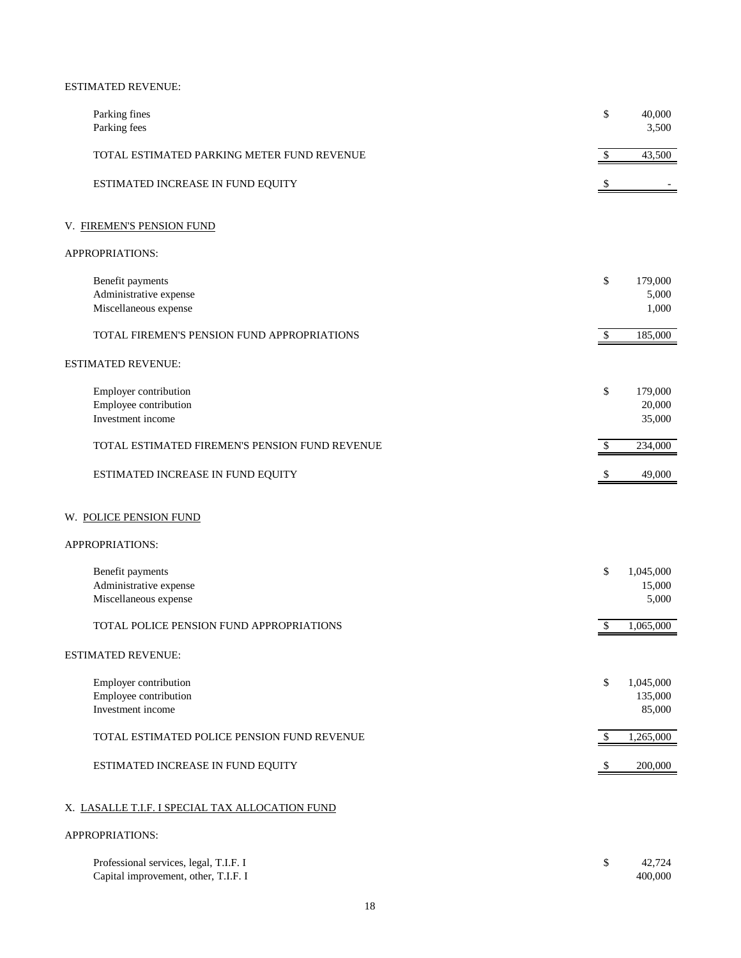## ESTIMATED REVENUE:

| Parking fines<br>Parking fees                                                  |                                                 | \$                        | 40,000<br>3,500                |
|--------------------------------------------------------------------------------|-------------------------------------------------|---------------------------|--------------------------------|
|                                                                                | TOTAL ESTIMATED PARKING METER FUND REVENUE      | \$                        | 43,500                         |
|                                                                                | ESTIMATED INCREASE IN FUND EQUITY               |                           |                                |
| V. FIREMEN'S PENSION FUND                                                      |                                                 |                           |                                |
| APPROPRIATIONS:                                                                |                                                 |                           |                                |
| Benefit payments<br>Administrative expense<br>Miscellaneous expense            |                                                 | \$                        | 179,000<br>5,000<br>1,000      |
|                                                                                | TOTAL FIREMEN'S PENSION FUND APPROPRIATIONS     | \$                        | 185,000                        |
| <b>ESTIMATED REVENUE:</b>                                                      |                                                 |                           |                                |
| Employer contribution<br>Employee contribution<br>Investment income            |                                                 | \$                        | 179,000<br>20,000<br>35,000    |
|                                                                                | TOTAL ESTIMATED FIREMEN'S PENSION FUND REVENUE  | $\mathbb{S}$              | 234,000                        |
|                                                                                | ESTIMATED INCREASE IN FUND EQUITY               | \$                        | 49,000                         |
| W. POLICE PENSION FUND                                                         |                                                 |                           |                                |
| APPROPRIATIONS:                                                                |                                                 |                           |                                |
| Benefit payments<br>Administrative expense<br>Miscellaneous expense            |                                                 | \$                        | 1,045,000<br>15,000<br>5,000   |
|                                                                                | TOTAL POLICE PENSION FUND APPROPRIATIONS        | $\boldsymbol{\mathsf{S}}$ | 1,065,000                      |
| ESTIMATED REVENUE:                                                             |                                                 |                           |                                |
| Employer contribution<br>Employee contribution<br>Investment income            |                                                 | \$                        | 1,045,000<br>135,000<br>85,000 |
|                                                                                | TOTAL ESTIMATED POLICE PENSION FUND REVENUE     | $\mathcal{S}$             | 1,265,000                      |
|                                                                                | ESTIMATED INCREASE IN FUND EQUITY               | \$                        | 200,000                        |
|                                                                                | X. LASALLE T.I.F. I SPECIAL TAX ALLOCATION FUND |                           |                                |
| APPROPRIATIONS:                                                                |                                                 |                           |                                |
| Professional services, legal, T.I.F. I<br>Capital improvement, other, T.I.F. I |                                                 | \$                        | 42,724<br>400,000              |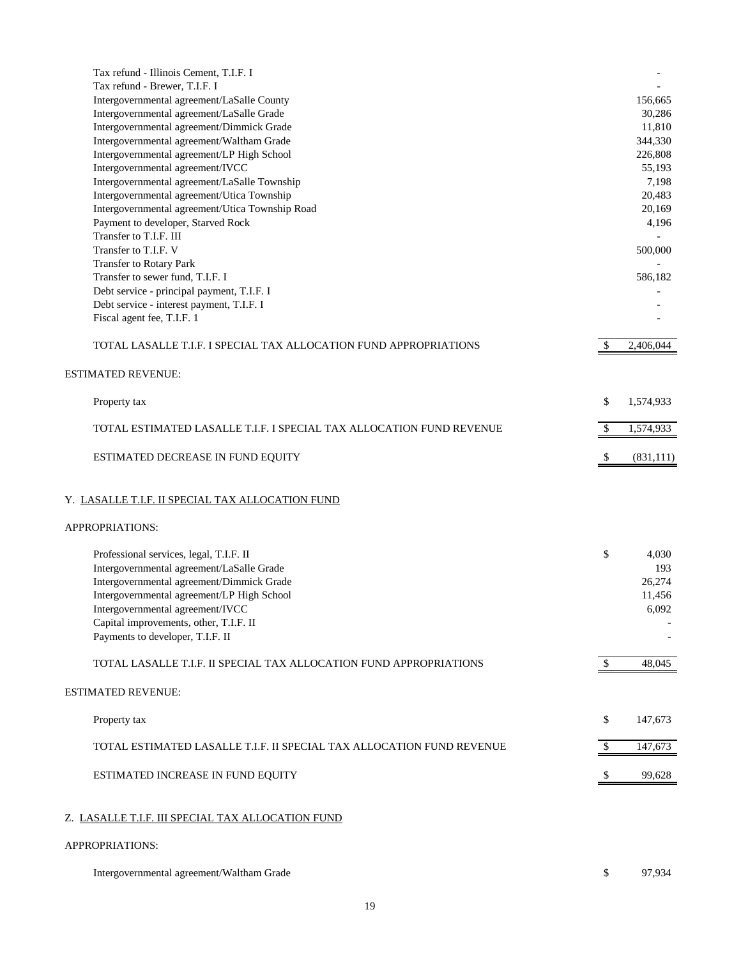| Tax refund - Illinois Cement, T.I.F. I                                |              |            |
|-----------------------------------------------------------------------|--------------|------------|
| Tax refund - Brewer, T.I.F. I                                         |              |            |
| Intergovernmental agreement/LaSalle County                            |              | 156,665    |
| Intergovernmental agreement/LaSalle Grade                             |              | 30,286     |
| Intergovernmental agreement/Dimmick Grade                             |              | 11,810     |
| Intergovernmental agreement/Waltham Grade                             |              | 344,330    |
| Intergovernmental agreement/LP High School                            |              | 226,808    |
| Intergovernmental agreement/IVCC                                      |              | 55,193     |
| Intergovernmental agreement/LaSalle Township                          |              | 7,198      |
| Intergovernmental agreement/Utica Township                            |              | 20,483     |
| Intergovernmental agreement/Utica Township Road                       |              | 20,169     |
| Payment to developer, Starved Rock                                    |              | 4,196      |
| Transfer to T.I.F. III                                                |              |            |
| Transfer to T.I.F. V                                                  |              | 500,000    |
| Transfer to Rotary Park                                               |              |            |
| Transfer to sewer fund, T.I.F. I                                      |              | 586,182    |
| Debt service - principal payment, T.I.F. I                            |              |            |
| Debt service - interest payment, T.I.F. I                             |              |            |
| Fiscal agent fee, T.I.F. 1                                            |              |            |
|                                                                       |              |            |
| TOTAL LASALLE T.I.F. I SPECIAL TAX ALLOCATION FUND APPROPRIATIONS     | \$           | 2,406,044  |
|                                                                       |              |            |
| <b>ESTIMATED REVENUE:</b>                                             |              |            |
|                                                                       |              |            |
| Property tax                                                          | \$           | 1,574,933  |
|                                                                       |              |            |
| TOTAL ESTIMATED LASALLE T.I.F. I SPECIAL TAX ALLOCATION FUND REVENUE  | \$           | 1,574,933  |
|                                                                       |              |            |
| ESTIMATED DECREASE IN FUND EQUITY                                     | -S           | (831, 111) |
| Y. LASALLE T.I.F. II SPECIAL TAX ALLOCATION FUND                      |              |            |
| APPROPRIATIONS:                                                       |              |            |
|                                                                       |              |            |
| Professional services, legal, T.I.F. II                               | \$           | 4,030      |
| Intergovernmental agreement/LaSalle Grade                             |              | 193        |
| Intergovernmental agreement/Dimmick Grade                             |              | 26,274     |
| Intergovernmental agreement/LP High School                            |              | 11,456     |
| Intergovernmental agreement/IVCC                                      |              | 6,092      |
| Capital improvements, other, T.I.F. II                                |              |            |
| Payments to developer, T.I.F. II                                      |              |            |
| TOTAL LASALLE T.I.F. II SPECIAL TAX ALLOCATION FUND APPROPRIATIONS    | \$           | 48,045     |
|                                                                       |              |            |
| <b>ESTIMATED REVENUE:</b>                                             |              |            |
|                                                                       |              |            |
| Property tax                                                          | \$           | 147,673    |
|                                                                       |              |            |
| TOTAL ESTIMATED LASALLE T.I.F. II SPECIAL TAX ALLOCATION FUND REVENUE | $\mathbb{S}$ | 147,673    |
|                                                                       |              |            |
| ESTIMATED INCREASE IN FUND EQUITY                                     |              | 99,628     |
|                                                                       |              |            |
|                                                                       |              |            |
|                                                                       |              |            |
| Z. LASALLE T.I.F. III SPECIAL TAX ALLOCATION FUND                     |              |            |
|                                                                       |              |            |
| APPROPRIATIONS:                                                       |              |            |
| Intergovernmental agreement/Waltham Grade                             |              | 97,934     |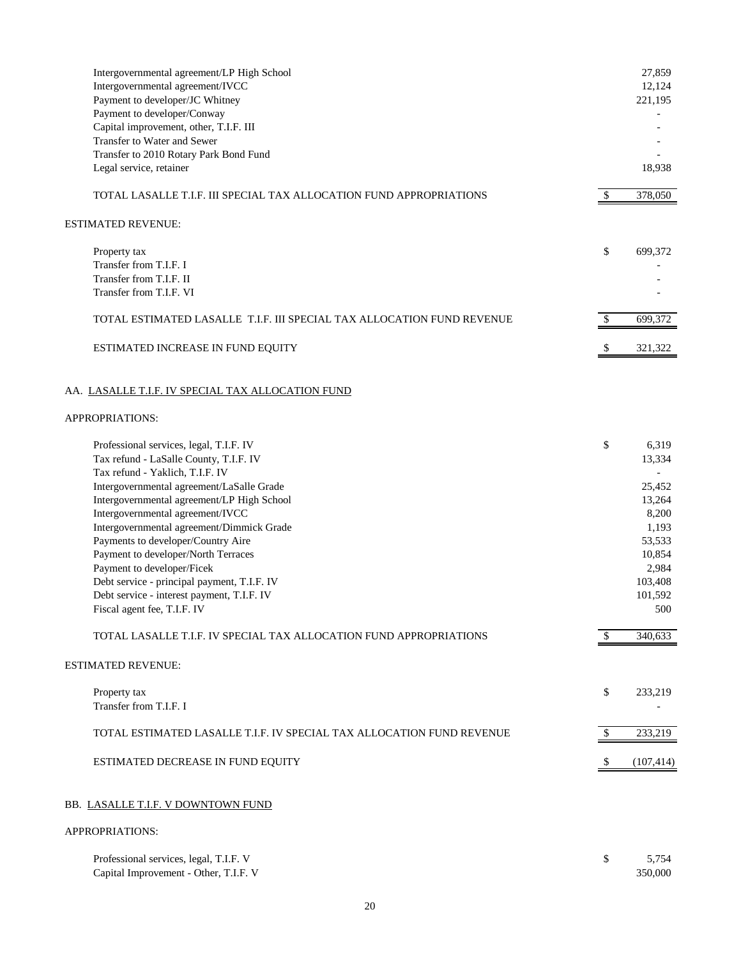| Intergovernmental agreement/LP High School<br>Intergovernmental agreement/IVCC<br>Payment to developer/JC Whitney |              | 27,859<br>12,124<br>221,195 |
|-------------------------------------------------------------------------------------------------------------------|--------------|-----------------------------|
| Payment to developer/Conway                                                                                       |              |                             |
| Capital improvement, other, T.I.F. III                                                                            |              |                             |
| Transfer to Water and Sewer                                                                                       |              |                             |
| Transfer to 2010 Rotary Park Bond Fund                                                                            |              |                             |
| Legal service, retainer                                                                                           |              | 18,938                      |
| TOTAL LASALLE T.I.F. III SPECIAL TAX ALLOCATION FUND APPROPRIATIONS                                               | \$           | 378,050                     |
| ESTIMATED REVENUE:                                                                                                |              |                             |
| Property tax                                                                                                      | \$           | 699,372                     |
| Transfer from T.I.F. I                                                                                            |              |                             |
| Transfer from T.I.F. II                                                                                           |              |                             |
| Transfer from T.I.F. VI                                                                                           |              |                             |
| TOTAL ESTIMATED LASALLE T.I.F. III SPECIAL TAX ALLOCATION FUND REVENUE                                            | $\mathbb{S}$ | 699,372                     |
| ESTIMATED INCREASE IN FUND EQUITY                                                                                 | \$           | 321,322                     |
| AA. LASALLE T.I.F. IV SPECIAL TAX ALLOCATION FUND<br>APPROPRIATIONS:                                              |              |                             |
|                                                                                                                   |              |                             |
| Professional services, legal, T.I.F. IV                                                                           | \$           | 6,319                       |
| Tax refund - LaSalle County, T.I.F. IV                                                                            |              | 13,334                      |
| Tax refund - Yaklich, T.I.F. IV                                                                                   |              |                             |
| Intergovernmental agreement/LaSalle Grade                                                                         |              | 25,452                      |
| Intergovernmental agreement/LP High School                                                                        |              | 13,264                      |
| Intergovernmental agreement/IVCC                                                                                  |              | 8,200                       |
| Intergovernmental agreement/Dimmick Grade                                                                         |              | 1,193                       |
| Payments to developer/Country Aire                                                                                |              | 53,533                      |
| Payment to developer/North Terraces<br>Payment to developer/Ficek                                                 |              | 10,854<br>2,984             |
| Debt service - principal payment, T.I.F. IV                                                                       |              | 103,408                     |
| Debt service - interest payment, T.I.F. IV                                                                        |              | 101,592                     |
| Fiscal agent fee, T.I.F. IV                                                                                       |              | 500                         |
| TOTAL LASALLE T.I.F. IV SPECIAL TAX ALLOCATION FUND APPROPRIATIONS                                                |              | 340,633                     |
| ESTIMATED REVENUE:                                                                                                |              |                             |
| Property tax                                                                                                      | \$           | 233,219                     |
| Transfer from T.I.F. I                                                                                            |              |                             |
| TOTAL ESTIMATED LASALLE T.I.F. IV SPECIAL TAX ALLOCATION FUND REVENUE                                             | $\mathbb{S}$ | 233,219                     |
| ESTIMATED DECREASE IN FUND EQUITY                                                                                 | -S           | (107, 414)                  |
|                                                                                                                   |              |                             |
| BB. LASALLE T.I.F. V DOWNTOWN FUND                                                                                |              |                             |
| APPROPRIATIONS:                                                                                                   |              |                             |
| Professional services legal TIF V                                                                                 |              | 5754                        |

| Professional services, legal, T.I.F. V | 5.754   |
|----------------------------------------|---------|
| Capital Improvement - Other, T.I.F. V  | 350.000 |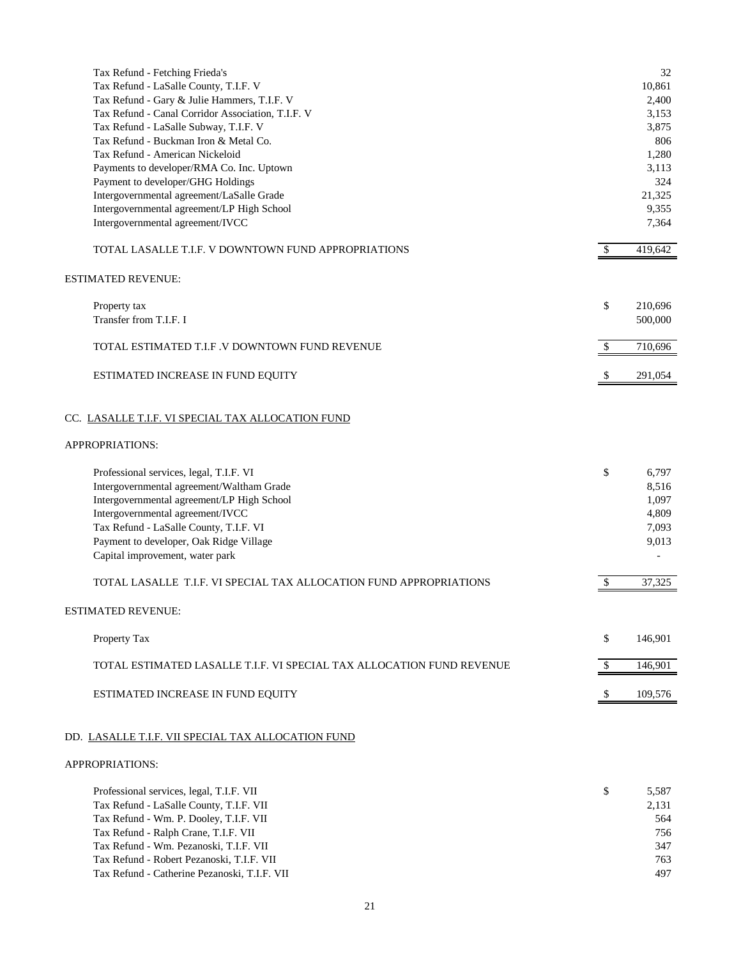| Tax Refund - Fetching Frieda's<br>Tax Refund - LaSalle County, T.I.F. V<br>Tax Refund - Gary & Julie Hammers, T.I.F. V<br>Tax Refund - Canal Corridor Association, T.I.F. V<br>Tax Refund - LaSalle Subway, T.I.F. V<br>Tax Refund - Buckman Iron & Metal Co.<br>Tax Refund - American Nickeloid<br>Payments to developer/RMA Co. Inc. Uptown<br>Payment to developer/GHG Holdings |              | 32<br>10,861<br>2,400<br>3,153<br>3,875<br>806<br>1,280<br>3,113<br>324 |
|------------------------------------------------------------------------------------------------------------------------------------------------------------------------------------------------------------------------------------------------------------------------------------------------------------------------------------------------------------------------------------|--------------|-------------------------------------------------------------------------|
| Intergovernmental agreement/LaSalle Grade<br>Intergovernmental agreement/LP High School                                                                                                                                                                                                                                                                                            |              | 21,325<br>9,355                                                         |
| Intergovernmental agreement/IVCC                                                                                                                                                                                                                                                                                                                                                   |              | 7,364                                                                   |
| TOTAL LASALLE T.I.F. V DOWNTOWN FUND APPROPRIATIONS                                                                                                                                                                                                                                                                                                                                | \$           | 419,642                                                                 |
| <b>ESTIMATED REVENUE:</b>                                                                                                                                                                                                                                                                                                                                                          |              |                                                                         |
| Property tax<br>Transfer from T.I.F. I                                                                                                                                                                                                                                                                                                                                             | \$           | 210,696<br>500,000                                                      |
| TOTAL ESTIMATED T.I.F.V DOWNTOWN FUND REVENUE                                                                                                                                                                                                                                                                                                                                      | $\mathbb{S}$ | 710,696                                                                 |
| ESTIMATED INCREASE IN FUND EQUITY                                                                                                                                                                                                                                                                                                                                                  | -S           | 291,054                                                                 |
| CC. LASALLE T.I.F. VI SPECIAL TAX ALLOCATION FUND                                                                                                                                                                                                                                                                                                                                  |              |                                                                         |
| APPROPRIATIONS:                                                                                                                                                                                                                                                                                                                                                                    |              |                                                                         |
| Professional services, legal, T.I.F. VI<br>Intergovernmental agreement/Waltham Grade<br>Intergovernmental agreement/LP High School<br>Intergovernmental agreement/IVCC<br>Tax Refund - LaSalle County, T.I.F. VI<br>Payment to developer, Oak Ridge Village<br>Capital improvement, water park                                                                                     | \$           | 6,797<br>8,516<br>1,097<br>4,809<br>7,093<br>9,013                      |
| TOTAL LASALLE T.I.F. VI SPECIAL TAX ALLOCATION FUND APPROPRIATIONS                                                                                                                                                                                                                                                                                                                 |              | 37,325                                                                  |
| <b>ESTIMATED REVENUE:</b>                                                                                                                                                                                                                                                                                                                                                          |              |                                                                         |
| Property Tax                                                                                                                                                                                                                                                                                                                                                                       | \$           | 146,901                                                                 |
| TOTAL ESTIMATED LASALLE T.I.F. VI SPECIAL TAX ALLOCATION FUND REVENUE                                                                                                                                                                                                                                                                                                              | -S           | 146,901                                                                 |
| ESTIMATED INCREASE IN FUND EQUITY                                                                                                                                                                                                                                                                                                                                                  |              | 109,576                                                                 |
| DD. LASALLE T.I.F. VII SPECIAL TAX ALLOCATION FUND                                                                                                                                                                                                                                                                                                                                 |              |                                                                         |
| APPROPRIATIONS:                                                                                                                                                                                                                                                                                                                                                                    |              |                                                                         |
| Professional services, legal, T.I.F. VII<br>Tax Refund - LaSalle County, T.I.F. VII<br>Tax Refund - Wm. P. Dooley, T.I.F. VII<br>Tax Refund - Ralph Crane, T.I.F. VII<br>Tax Refund - Wm. Pezanoski, T.I.F. VII<br>Tax Refund - Robert Pezanoski, T.I.F. VII<br>Tax Refund - Catherine Pezanoski, T.I.F. VII                                                                       | \$           | 5,587<br>2,131<br>564<br>756<br>347<br>763<br>497                       |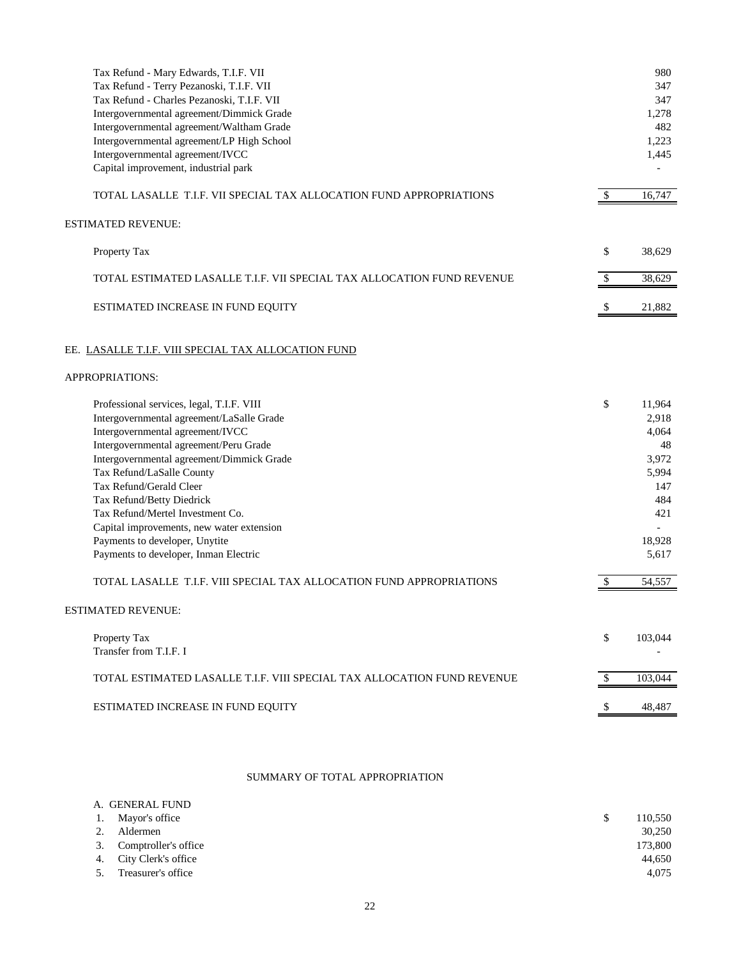| Tax Refund - Mary Edwards, T.I.F. VII<br>Tax Refund - Terry Pezanoski, T.I.F. VII<br>Tax Refund - Charles Pezanoski, T.I.F. VII<br>Intergovernmental agreement/Dimmick Grade<br>Intergovernmental agreement/Waltham Grade<br>Intergovernmental agreement/LP High School<br>Intergovernmental agreement/IVCC<br>Capital improvement, industrial park                                                                                                                                                                                        |              | 980<br>347<br>347<br>1,278<br>482<br>1,223<br>1,445                                                |
|--------------------------------------------------------------------------------------------------------------------------------------------------------------------------------------------------------------------------------------------------------------------------------------------------------------------------------------------------------------------------------------------------------------------------------------------------------------------------------------------------------------------------------------------|--------------|----------------------------------------------------------------------------------------------------|
| TOTAL LASALLE T.I.F. VII SPECIAL TAX ALLOCATION FUND APPROPRIATIONS                                                                                                                                                                                                                                                                                                                                                                                                                                                                        | $\mathbb{S}$ | 16,747                                                                                             |
| <b>ESTIMATED REVENUE:</b>                                                                                                                                                                                                                                                                                                                                                                                                                                                                                                                  |              |                                                                                                    |
| Property Tax                                                                                                                                                                                                                                                                                                                                                                                                                                                                                                                               | \$           | 38,629                                                                                             |
| TOTAL ESTIMATED LASALLE T.I.F. VII SPECIAL TAX ALLOCATION FUND REVENUE                                                                                                                                                                                                                                                                                                                                                                                                                                                                     | \$           | 38,629                                                                                             |
| ESTIMATED INCREASE IN FUND EQUITY                                                                                                                                                                                                                                                                                                                                                                                                                                                                                                          |              | 21,882                                                                                             |
| EE. LASALLE T.I.F. VIII SPECIAL TAX ALLOCATION FUND                                                                                                                                                                                                                                                                                                                                                                                                                                                                                        |              |                                                                                                    |
| APPROPRIATIONS:                                                                                                                                                                                                                                                                                                                                                                                                                                                                                                                            |              |                                                                                                    |
| Professional services, legal, T.I.F. VIII<br>Intergovernmental agreement/LaSalle Grade<br>Intergovernmental agreement/IVCC<br>Intergovernmental agreement/Peru Grade<br>Intergovernmental agreement/Dimmick Grade<br>Tax Refund/LaSalle County<br>Tax Refund/Gerald Cleer<br>Tax Refund/Betty Diedrick<br>Tax Refund/Mertel Investment Co.<br>Capital improvements, new water extension<br>Payments to developer, Unytite<br>Payments to developer, Inman Electric<br>TOTAL LASALLE T.I.F. VIII SPECIAL TAX ALLOCATION FUND APPROPRIATIONS | \$<br>\$     | 11,964<br>2,918<br>4,064<br>48<br>3,972<br>5,994<br>147<br>484<br>421<br>18,928<br>5,617<br>54,557 |
| <b>ESTIMATED REVENUE:</b>                                                                                                                                                                                                                                                                                                                                                                                                                                                                                                                  |              |                                                                                                    |
| Property Tax<br>Transfer from T.I.F. I                                                                                                                                                                                                                                                                                                                                                                                                                                                                                                     | \$           | 103,044                                                                                            |
| TOTAL ESTIMATED LASALLE T.I.F. VIII SPECIAL TAX ALLOCATION FUND REVENUE                                                                                                                                                                                                                                                                                                                                                                                                                                                                    | $\mathbb{S}$ | 103,044                                                                                            |
| ESTIMATED INCREASE IN FUND EQUITY                                                                                                                                                                                                                                                                                                                                                                                                                                                                                                          | -S           | 48,487                                                                                             |
|                                                                                                                                                                                                                                                                                                                                                                                                                                                                                                                                            |              |                                                                                                    |

# SUMMARY OF TOTAL APPROPRIATION

|    | A. GENERAL FUND         |              |         |
|----|-------------------------|--------------|---------|
|    | 1. Mayor's office       | <sup>S</sup> | 110,550 |
| 2. | Aldermen                |              | 30.250  |
|    | 3. Comptroller's office |              | 173,800 |
|    | 4. City Clerk's office  |              | 44.650  |
| 5. | Treasurer's office      |              | 4.075   |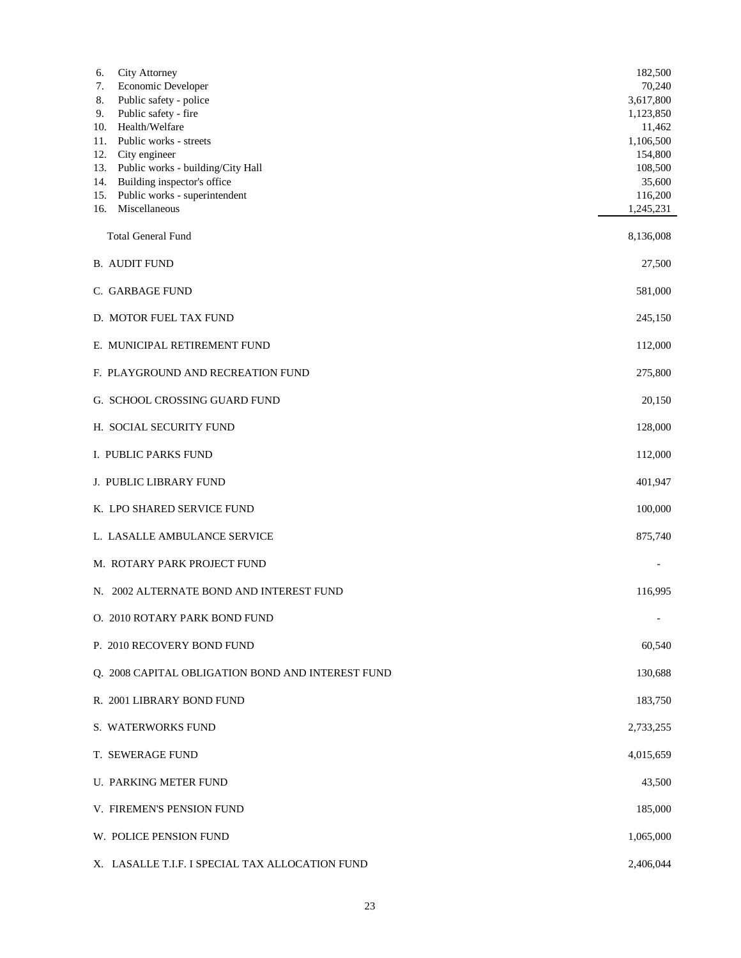| City Attorney<br>6.<br>Economic Developer<br>7.<br>Public safety - police<br>8.<br>Public safety - fire<br>9.<br>Health/Welfare<br>10.<br>Public works - streets<br>11.<br>City engineer<br>12.<br>Public works - building/City Hall<br>13.<br>Building inspector's office<br>14.<br>Public works - superintendent<br>15.<br>Miscellaneous<br>16. | 182,500<br>70,240<br>3,617,800<br>1,123,850<br>11,462<br>1,106,500<br>154,800<br>108,500<br>35,600<br>116,200<br>1,245,231 |
|---------------------------------------------------------------------------------------------------------------------------------------------------------------------------------------------------------------------------------------------------------------------------------------------------------------------------------------------------|----------------------------------------------------------------------------------------------------------------------------|
| <b>Total General Fund</b>                                                                                                                                                                                                                                                                                                                         | 8,136,008                                                                                                                  |
| <b>B. AUDIT FUND</b>                                                                                                                                                                                                                                                                                                                              | 27,500                                                                                                                     |
| C. GARBAGE FUND                                                                                                                                                                                                                                                                                                                                   | 581,000                                                                                                                    |
| D. MOTOR FUEL TAX FUND                                                                                                                                                                                                                                                                                                                            | 245,150                                                                                                                    |
| E. MUNICIPAL RETIREMENT FUND                                                                                                                                                                                                                                                                                                                      | 112,000                                                                                                                    |
| F. PLAYGROUND AND RECREATION FUND                                                                                                                                                                                                                                                                                                                 | 275,800                                                                                                                    |
| G. SCHOOL CROSSING GUARD FUND                                                                                                                                                                                                                                                                                                                     | 20,150                                                                                                                     |
| H. SOCIAL SECURITY FUND                                                                                                                                                                                                                                                                                                                           | 128,000                                                                                                                    |
| I. PUBLIC PARKS FUND                                                                                                                                                                                                                                                                                                                              | 112,000                                                                                                                    |
| J. PUBLIC LIBRARY FUND                                                                                                                                                                                                                                                                                                                            | 401,947                                                                                                                    |
| K. LPO SHARED SERVICE FUND                                                                                                                                                                                                                                                                                                                        | 100,000                                                                                                                    |
| L. LASALLE AMBULANCE SERVICE                                                                                                                                                                                                                                                                                                                      | 875,740                                                                                                                    |
| M. ROTARY PARK PROJECT FUND                                                                                                                                                                                                                                                                                                                       |                                                                                                                            |
| N. 2002 ALTERNATE BOND AND INTEREST FUND                                                                                                                                                                                                                                                                                                          | 116,995                                                                                                                    |
| O. 2010 ROTARY PARK BOND FUND                                                                                                                                                                                                                                                                                                                     |                                                                                                                            |
| P. 2010 RECOVERY BOND FUND                                                                                                                                                                                                                                                                                                                        | 60,540                                                                                                                     |
| O. 2008 CAPITAL OBLIGATION BOND AND INTEREST FUND                                                                                                                                                                                                                                                                                                 | 130,688                                                                                                                    |
| R. 2001 LIBRARY BOND FUND                                                                                                                                                                                                                                                                                                                         | 183,750                                                                                                                    |
| S. WATERWORKS FUND                                                                                                                                                                                                                                                                                                                                | 2,733,255                                                                                                                  |
| T. SEWERAGE FUND                                                                                                                                                                                                                                                                                                                                  | 4,015,659                                                                                                                  |
| <b>U. PARKING METER FUND</b>                                                                                                                                                                                                                                                                                                                      | 43,500                                                                                                                     |
| V. FIREMEN'S PENSION FUND                                                                                                                                                                                                                                                                                                                         | 185,000                                                                                                                    |
| W. POLICE PENSION FUND                                                                                                                                                                                                                                                                                                                            | 1,065,000                                                                                                                  |
| X. LASALLE T.I.F. I SPECIAL TAX ALLOCATION FUND                                                                                                                                                                                                                                                                                                   | 2,406,044                                                                                                                  |